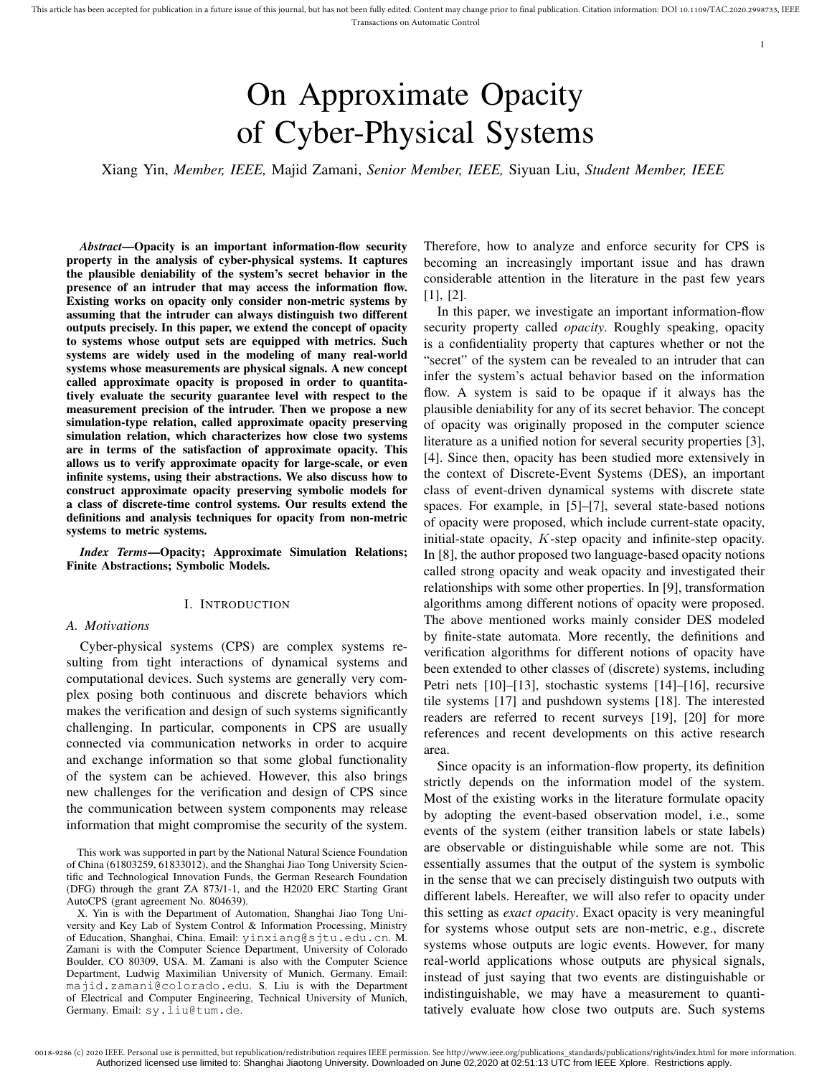# On Approximate Opacity of Cyber-Physical Systems

Xiang Yin, *Member, IEEE,* Majid Zamani, *Senior Member, IEEE,* Siyuan Liu, *Student Member, IEEE*

*Abstract*—Opacity is an important information-flow security property in the analysis of cyber-physical systems. It captures the plausible deniability of the system's secret behavior in the presence of an intruder that may access the information flow. Existing works on opacity only consider non-metric systems by assuming that the intruder can always distinguish two different outputs precisely. In this paper, we extend the concept of opacity to systems whose output sets are equipped with metrics. Such systems are widely used in the modeling of many real-world systems whose measurements are physical signals. A new concept called approximate opacity is proposed in order to quantitatively evaluate the security guarantee level with respect to the measurement precision of the intruder. Then we propose a new simulation-type relation, called approximate opacity preserving simulation relation, which characterizes how close two systems are in terms of the satisfaction of approximate opacity. This allows us to verify approximate opacity for large-scale, or even infinite systems, using their abstractions. We also discuss how to construct approximate opacity preserving symbolic models for a class of discrete-time control systems. Our results extend the definitions and analysis techniques for opacity from non-metric systems to metric systems.

*Index Terms*—Opacity; Approximate Simulation Relations; Finite Abstractions; Symbolic Models.

#### I. INTRODUCTION

## *A. Motivations*

Cyber-physical systems (CPS) are complex systems resulting from tight interactions of dynamical systems and computational devices. Such systems are generally very complex posing both continuous and discrete behaviors which makes the verification and design of such systems significantly challenging. In particular, components in CPS are usually connected via communication networks in order to acquire and exchange information so that some global functionality of the system can be achieved. However, this also brings new challenges for the verification and design of CPS since the communication between system components may release information that might compromise the security of the system.

This work was supported in part by the National Natural Science Foundation of China (61803259, 61833012), and the Shanghai Jiao Tong University Scientific and Technological Innovation Funds, the German Research Foundation (DFG) through the grant ZA 873/1-1, and the H2020 ERC Starting Grant AutoCPS (grant agreement No. 804639).

X. Yin is with the Department of Automation, Shanghai Jiao Tong University and Key Lab of System Control & Information Processing, Ministry of Education, Shanghai, China. Email: yinxiang@sjtu.edu.cn. M. Zamani is with the Computer Science Department, University of Colorado Boulder, CO 80309, USA. M. Zamani is also with the Computer Science Department, Ludwig Maximilian University of Munich, Germany. Email: majid.zamani@colorado.edu. S. Liu is with the Department of Electrical and Computer Engineering, Technical University of Munich, Germany. Email: sy.liu@tum.de.

Therefore, how to analyze and enforce security for CPS is becoming an increasingly important issue and has drawn considerable attention in the literature in the past few years [1], [2].

1

In this paper, we investigate an important information-flow security property called *opacity*. Roughly speaking, opacity is a confidentiality property that captures whether or not the "secret" of the system can be revealed to an intruder that can infer the system's actual behavior based on the information flow. A system is said to be opaque if it always has the plausible deniability for any of its secret behavior. The concept of opacity was originally proposed in the computer science literature as a unified notion for several security properties [3], [4]. Since then, opacity has been studied more extensively in the context of Discrete-Event Systems (DES), an important class of event-driven dynamical systems with discrete state spaces. For example, in [5]–[7], several state-based notions of opacity were proposed, which include current-state opacity, initial-state opacity, K-step opacity and infinite-step opacity. In [8], the author proposed two language-based opacity notions called strong opacity and weak opacity and investigated their relationships with some other properties. In [9], transformation algorithms among different notions of opacity were proposed. The above mentioned works mainly consider DES modeled by finite-state automata. More recently, the definitions and verification algorithms for different notions of opacity have been extended to other classes of (discrete) systems, including Petri nets [10]–[13], stochastic systems [14]–[16], recursive tile systems [17] and pushdown systems [18]. The interested readers are referred to recent surveys [19], [20] for more references and recent developments on this active research area.

Since opacity is an information-flow property, its definition strictly depends on the information model of the system. Most of the existing works in the literature formulate opacity by adopting the event-based observation model, i.e., some events of the system (either transition labels or state labels) are observable or distinguishable while some are not. This essentially assumes that the output of the system is symbolic in the sense that we can precisely distinguish two outputs with different labels. Hereafter, we will also refer to opacity under this setting as *exact opacity*. Exact opacity is very meaningful for systems whose output sets are non-metric, e.g., discrete systems whose outputs are logic events. However, for many real-world applications whose outputs are physical signals, instead of just saying that two events are distinguishable or indistinguishable, we may have a measurement to quantitatively evaluate how close two outputs are. Such systems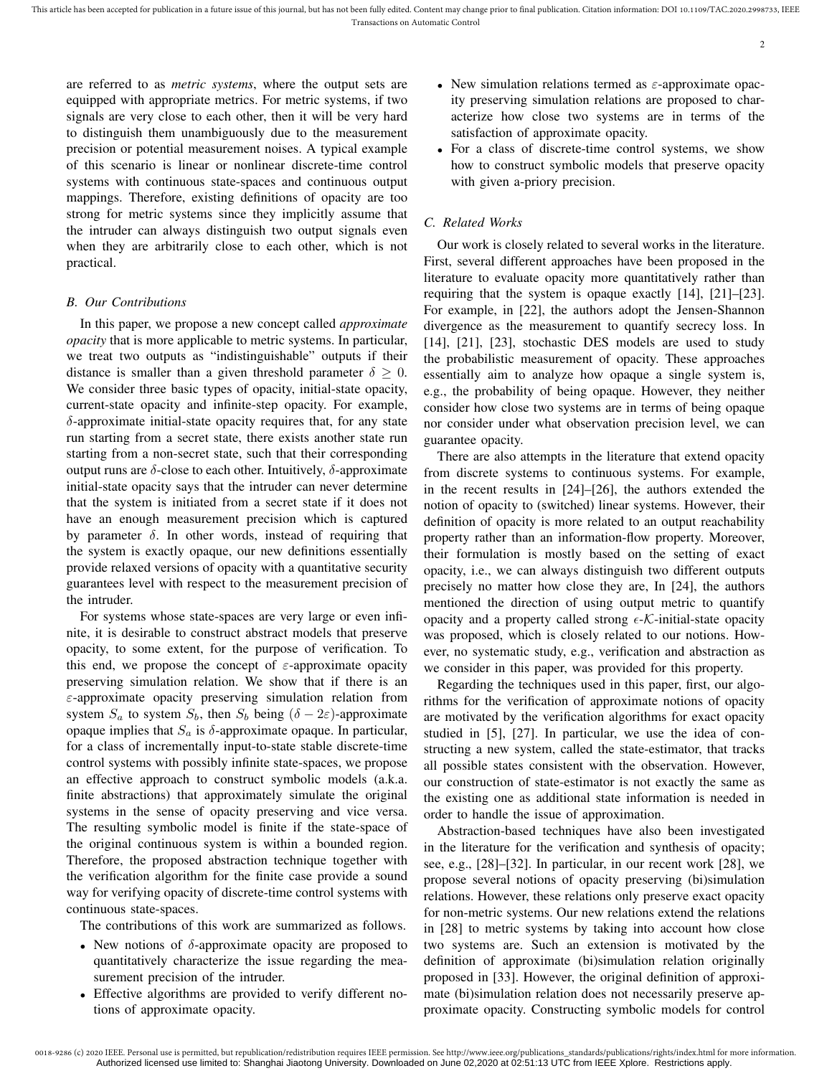are referred to as *metric systems*, where the output sets are equipped with appropriate metrics. For metric systems, if two signals are very close to each other, then it will be very hard to distinguish them unambiguously due to the measurement precision or potential measurement noises. A typical example of this scenario is linear or nonlinear discrete-time control systems with continuous state-spaces and continuous output mappings. Therefore, existing definitions of opacity are too strong for metric systems since they implicitly assume that the intruder can always distinguish two output signals even when they are arbitrarily close to each other, which is not practical.

## *B. Our Contributions*

In this paper, we propose a new concept called *approximate opacity* that is more applicable to metric systems. In particular, we treat two outputs as "indistinguishable" outputs if their distance is smaller than a given threshold parameter  $\delta \geq 0$ . We consider three basic types of opacity, initial-state opacity, current-state opacity and infinite-step opacity. For example,  $\delta$ -approximate initial-state opacity requires that, for any state run starting from a secret state, there exists another state run starting from a non-secret state, such that their corresponding output runs are δ-close to each other. Intuitively, δ-approximate initial-state opacity says that the intruder can never determine that the system is initiated from a secret state if it does not have an enough measurement precision which is captured by parameter  $\delta$ . In other words, instead of requiring that the system is exactly opaque, our new definitions essentially provide relaxed versions of opacity with a quantitative security guarantees level with respect to the measurement precision of the intruder.

For systems whose state-spaces are very large or even infinite, it is desirable to construct abstract models that preserve opacity, to some extent, for the purpose of verification. To this end, we propose the concept of  $\varepsilon$ -approximate opacity preserving simulation relation. We show that if there is an  $\varepsilon$ -approximate opacity preserving simulation relation from system  $S_a$  to system  $S_b$ , then  $S_b$  being  $(\delta - 2\varepsilon)$ -approximate opaque implies that  $S_a$  is  $\delta$ -approximate opaque. In particular, for a class of incrementally input-to-state stable discrete-time control systems with possibly infinite state-spaces, we propose an effective approach to construct symbolic models (a.k.a. finite abstractions) that approximately simulate the original systems in the sense of opacity preserving and vice versa. The resulting symbolic model is finite if the state-space of the original continuous system is within a bounded region. Therefore, the proposed abstraction technique together with the verification algorithm for the finite case provide a sound way for verifying opacity of discrete-time control systems with continuous state-spaces.

The contributions of this work are summarized as follows.

- New notions of  $\delta$ -approximate opacity are proposed to quantitatively characterize the issue regarding the measurement precision of the intruder.
- Effective algorithms are provided to verify different notions of approximate opacity.
- New simulation relations termed as  $\varepsilon$ -approximate opacity preserving simulation relations are proposed to characterize how close two systems are in terms of the satisfaction of approximate opacity.
- For a class of discrete-time control systems, we show how to construct symbolic models that preserve opacity with given a-priory precision.

## *C. Related Works*

Our work is closely related to several works in the literature. First, several different approaches have been proposed in the literature to evaluate opacity more quantitatively rather than requiring that the system is opaque exactly [14], [21]–[23]. For example, in [22], the authors adopt the Jensen-Shannon divergence as the measurement to quantify secrecy loss. In [14], [21], [23], stochastic DES models are used to study the probabilistic measurement of opacity. These approaches essentially aim to analyze how opaque a single system is, e.g., the probability of being opaque. However, they neither consider how close two systems are in terms of being opaque nor consider under what observation precision level, we can guarantee opacity.

There are also attempts in the literature that extend opacity from discrete systems to continuous systems. For example, in the recent results in [24]–[26], the authors extended the notion of opacity to (switched) linear systems. However, their definition of opacity is more related to an output reachability property rather than an information-flow property. Moreover, their formulation is mostly based on the setting of exact opacity, i.e., we can always distinguish two different outputs precisely no matter how close they are, In [24], the authors mentioned the direction of using output metric to quantify opacity and a property called strong  $\epsilon$ -*K*-initial-state opacity was proposed, which is closely related to our notions. However, no systematic study, e.g., verification and abstraction as we consider in this paper, was provided for this property.

Regarding the techniques used in this paper, first, our algorithms for the verification of approximate notions of opacity are motivated by the verification algorithms for exact opacity studied in [5], [27]. In particular, we use the idea of constructing a new system, called the state-estimator, that tracks all possible states consistent with the observation. However, our construction of state-estimator is not exactly the same as the existing one as additional state information is needed in order to handle the issue of approximation.

Abstraction-based techniques have also been investigated in the literature for the verification and synthesis of opacity; see, e.g., [28]–[32]. In particular, in our recent work [28], we propose several notions of opacity preserving (bi)simulation relations. However, these relations only preserve exact opacity for non-metric systems. Our new relations extend the relations in [28] to metric systems by taking into account how close two systems are. Such an extension is motivated by the definition of approximate (bi)simulation relation originally proposed in [33]. However, the original definition of approximate (bi)simulation relation does not necessarily preserve approximate opacity. Constructing symbolic models for control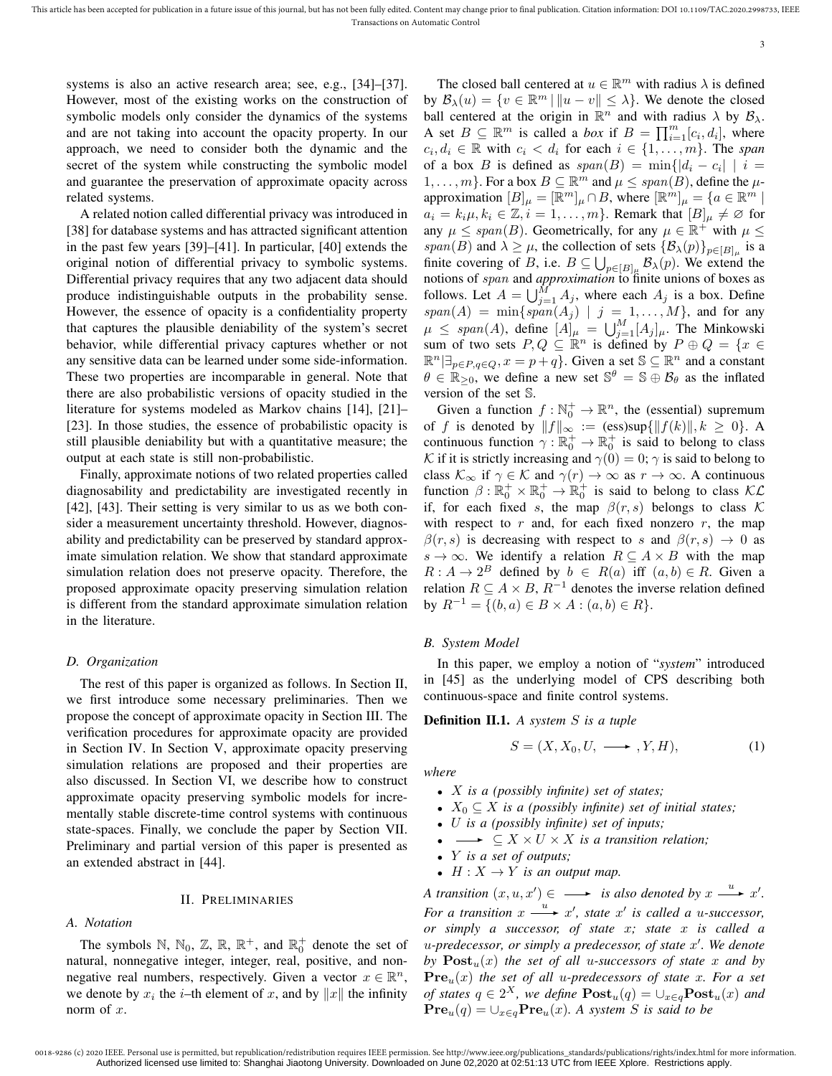systems is also an active research area; see, e.g., [34]–[37]. However, most of the existing works on the construction of symbolic models only consider the dynamics of the systems and are not taking into account the opacity property. In our approach, we need to consider both the dynamic and the secret of the system while constructing the symbolic model and guarantee the preservation of approximate opacity across related systems.

A related notion called differential privacy was introduced in [38] for database systems and has attracted significant attention in the past few years [39]–[41]. In particular, [40] extends the original notion of differential privacy to symbolic systems. Differential privacy requires that any two adjacent data should produce indistinguishable outputs in the probability sense. However, the essence of opacity is a confidentiality property that captures the plausible deniability of the system's secret behavior, while differential privacy captures whether or not any sensitive data can be learned under some side-information. These two properties are incomparable in general. Note that there are also probabilistic versions of opacity studied in the literature for systems modeled as Markov chains [14], [21]– [23]. In those studies, the essence of probabilistic opacity is still plausible deniability but with a quantitative measure; the output at each state is still non-probabilistic.

Finally, approximate notions of two related properties called diagnosability and predictability are investigated recently in [42], [43]. Their setting is very similar to us as we both consider a measurement uncertainty threshold. However, diagnosability and predictability can be preserved by standard approximate simulation relation. We show that standard approximate simulation relation does not preserve opacity. Therefore, the proposed approximate opacity preserving simulation relation is different from the standard approximate simulation relation in the literature.

#### *D. Organization*

The rest of this paper is organized as follows. In Section II, we first introduce some necessary preliminaries. Then we propose the concept of approximate opacity in Section III. The verification procedures for approximate opacity are provided in Section IV. In Section V, approximate opacity preserving simulation relations are proposed and their properties are also discussed. In Section VI, we describe how to construct approximate opacity preserving symbolic models for incrementally stable discrete-time control systems with continuous state-spaces. Finally, we conclude the paper by Section VII. Preliminary and partial version of this paper is presented as an extended abstract in [44].

#### II. PRELIMINARIES

#### *A. Notation*

The symbols N, N<sub>0</sub>, Z, R, R<sup>+</sup>, and R<sub>0</sub><sup>+</sup> denote the set of natural, nonnegative integer, integer, real, positive, and nonnegative real numbers, respectively. Given a vector  $x \in \mathbb{R}^n$ , we denote by  $x_i$  the *i*–th element of x, and by  $||x||$  the infinity norm of x.

The closed ball centered at  $u \in \mathbb{R}^m$  with radius  $\lambda$  is defined by  $\mathcal{B}_{\lambda}(u) = \{v \in \mathbb{R}^m \mid ||u - v|| \leq \lambda\}$ . We denote the closed ball centered at the origin in  $\mathbb{R}^n$  and with radius  $\lambda$  by  $\mathcal{B}_{\lambda}$ . A set  $B \subseteq \mathbb{R}^m$  is called a *box* if  $B = \prod_{i=1}^m [c_i, d_i]$ , where  $c_i, d_i \in \mathbb{R}$  with  $c_i < d_i$  for each  $i \in \{1, \ldots, m\}$ . The *span* of a box B is defined as  $span(B) = min\{|d_i - c_i| \mid i =$  $1, \ldots, m$ . For a box  $B \subseteq \mathbb{R}^m$  and  $\mu \leq span(B)$ , define the  $\mu$ approximation  $[B]_{\mu} = [\mathbb{R}^m]_{\mu} \cap B$ , where  $[\mathbb{R}^m]_{\mu} = \{a \in \mathbb{R}^m \mid a \in \mathbb{R}^m \}$  $a_i = k_i \mu, k_i \in \mathbb{Z}, i = 1, \ldots, m$ . Remark that  $[B]_{\mu} \neq \emptyset$  for any  $\mu \leq span(B)$ . Geometrically, for any  $\mu \in \mathbb{R}^+$  with  $\mu \leq$ span(B) and  $\lambda \geq \mu$ , the collection of sets  $\{\mathcal{B}_{\lambda}(p)\}_{p\in[B]_{\mu}}$  is a finite covering of B, i.e.  $B \subseteq \bigcup_{p \in [B]_\mu} \mathcal{B}_\lambda(p)$ . We extend the notions of span and *approximation* to finite unions of boxes as follows. Let  $A = \bigcup_{j=1}^{M} A_j$ , where each  $A_j$  is a box. Define  $span(A) = min\{span(A_j) | j = 1, ..., M\}$ , and for any  $\mu \leq span(A)$ , define  $[A]_{\mu} = \bigcup_{j=1}^{M} [A_j]_{\mu}$ . The Minkowski sum of two sets  $P, Q \subseteq \mathbb{R}^n$  is defined by  $P \oplus Q = \{x \in$  $\mathbb{R}^n | \exists_{p \in P, q \in Q}, x = p + q \}$ . Given a set  $\mathbb{S} \subseteq \mathbb{R}^n$  and a constant  $\theta \in \mathbb{R}_{\geq 0}$ , we define a new set  $\mathbb{S}^{\theta} = \mathbb{S} \oplus \mathcal{B}_{\theta}$  as the inflated version of the set S.

Given a function  $f: \mathbb{N}_0^+ \to \mathbb{R}^n$ , the (essential) supremum of f is denoted by  $||f||_{\infty} := (\text{ess})\sup\{||f(k)||, k \geq 0\}$ . A continuous function  $\gamma : \mathbb{R}_0^+ \to \mathbb{R}_0^+$  is said to belong to class K if it is strictly increasing and  $\gamma(0) = 0$ ;  $\gamma$  is said to belong to class  $\mathcal{K}_{\infty}$  if  $\gamma \in \mathcal{K}$  and  $\gamma(r) \to \infty$  as  $r \to \infty$ . A continuous function  $\beta : \mathbb{R}_0^+ \times \mathbb{R}_0^+ \to \mathbb{R}_0^+$  is said to belong to class  $\mathcal{KL}$ if, for each fixed s, the map  $\beta(r, s)$  belongs to class K with respect to  $r$  and, for each fixed nonzero  $r$ , the map  $\beta(r, s)$  is decreasing with respect to s and  $\beta(r, s) \rightarrow 0$  as  $s \to \infty$ . We identify a relation  $R \subseteq A \times B$  with the map  $R: A \to 2^B$  defined by  $b \in R(a)$  iff  $(a, b) \in R$ . Given a relation  $R \subseteq A \times B$ ,  $R^{-1}$  denotes the inverse relation defined by  $R^{-1} = \{(b, a) \in B \times A : (a, b) \in R\}.$ 

## *B. System Model*

In this paper, we employ a notion of "*system*" introduced in [45] as the underlying model of CPS describing both continuous-space and finite control systems.

Definition II.1. *A system* S *is a tuple*

$$
S = (X, X_0, U, \longrightarrow, Y, H), \tag{1}
$$

*where*

- X *is a (possibly infinite) set of states;*
- $X_0 \subseteq X$  *is a (possibly infinite) set of initial states;*
- U *is a (possibly infinite) set of inputs;*
- $\bullet \longrightarrow \subseteq X \times U \times X$  *is a transition relation;*
- Y *is a set of outputs;*
- $H: X \rightarrow Y$  *is an output map.*

*A transition*  $(x, u, x') \in \longrightarrow$  *is also denoted by*  $x \xrightarrow{u} x'$ . *For a transition*  $x \xrightarrow{u} x'$ *, state*  $x'$  *is called a u-successor, or simply a successor, of state* x*; state* x *is called a* u*-predecessor, or simply a predecessor, of state* x 0 *. We denote* by  $\text{Post}_u(x)$  *the set of all u-successors of state* x *and by*  $Pre_u(x)$  *the set of all u-predecessors of state x. For a set of states*  $q \in 2^X$ *, we define*  $\text{Post}_u(q) = \bigcup_{x \in q} \text{Post}_u(x)$  *and*  $\mathbf{Pre}_u(q) = \bigcup_{x \in q} \mathbf{Pre}_u(x)$ . A system S is said to be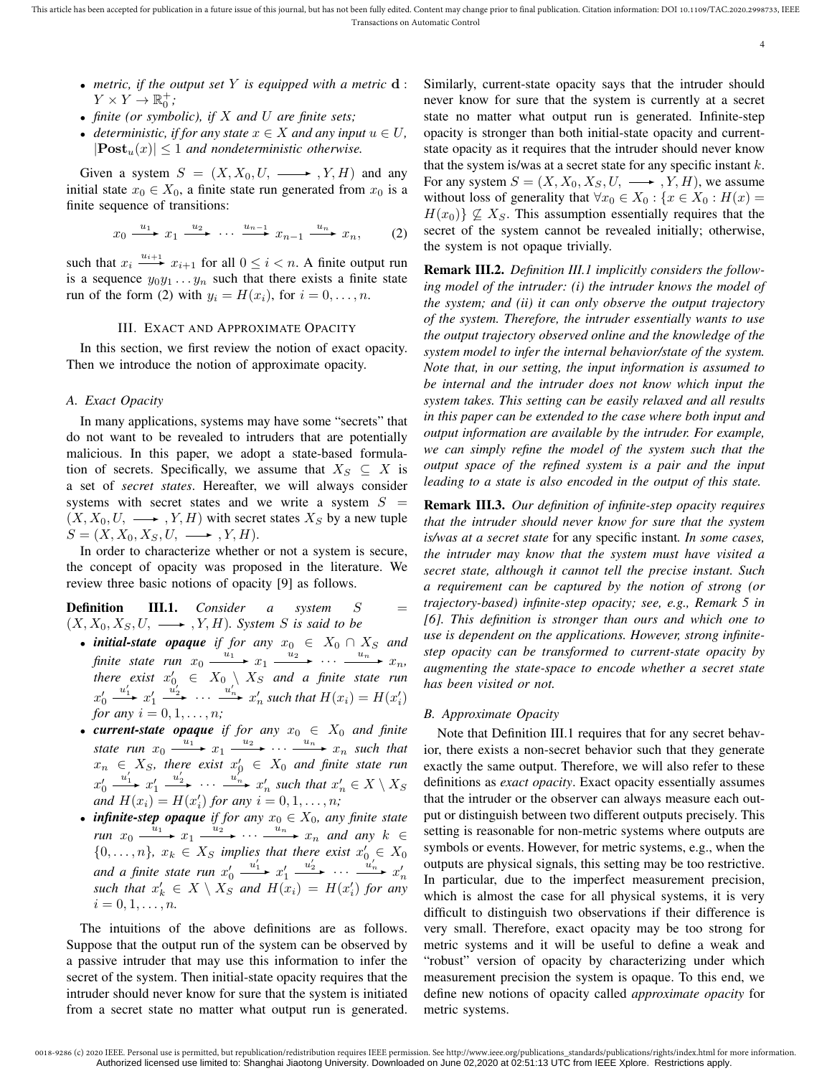- *metric, if the output set* Y *is equipped with a metric* d :  $Y \times Y \to \mathbb{R}_0^+$ ;
- *finite (or symbolic), if* X *and* U *are finite sets;*
- *deterministic, if for any state*  $x \in X$  *and any input*  $u \in U$ *,*  $|\text{Post}_u(x)| \leq 1$  *and nondeterministic otherwise.*

Given a system  $S = (X, X_0, U, \longrightarrow, Y, H)$  and any initial state  $x_0 \in X_0$ , a finite state run generated from  $x_0$  is a finite sequence of transitions:

$$
x_0 \xrightarrow{u_1} x_1 \xrightarrow{u_2} \cdots \xrightarrow{u_{n-1}} x_{n-1} \xrightarrow{u_n} x_n, \qquad (2)
$$

such that  $x_i \stackrel{u_{i+1}}{\longrightarrow} x_{i+1}$  for all  $0 \leq i < n$ . A finite output run is a sequence  $y_0y_1 \t ... y_n$  such that there exists a finite state run of the form (2) with  $y_i = H(x_i)$ , for  $i = 0, \ldots, n$ .

## III. EXACT AND APPROXIMATE OPACITY

In this section, we first review the notion of exact opacity. Then we introduce the notion of approximate opacity.

## *A. Exact Opacity*

In many applications, systems may have some "secrets" that do not want to be revealed to intruders that are potentially malicious. In this paper, we adopt a state-based formulation of secrets. Specifically, we assume that  $X_S \subseteq X$  is a set of *secret states*. Hereafter, we will always consider systems with secret states and we write a system  $S =$  $(X, X_0, U, \longrightarrow, Y, H)$  with secret states  $X_S$  by a new tuple  $S = (X, X_0, X_S, U, \longrightarrow, Y, H).$ 

In order to characterize whether or not a system is secure, the concept of opacity was proposed in the literature. We review three basic notions of opacity [9] as follows.

**Definition III.1.** *Consider a system*  $(X, X_0, X_S, U, \longrightarrow, Y, H)$ *. System S is said to be* 

- *initial-state opaque if for any*  $x_0 \in X_0 \cap X_S$  *and finite state run*  $x_0 \xrightarrow{u_1} x_1 \xrightarrow{u_2} \cdots \xrightarrow{u_n} x_n$ , *there exist*  $x'_0$   $\in$   $X_0$   $\setminus$   $X_S$  *and a finite state run*  $x'_0$  $\overset{u_1'}{\longrightarrow} x_1'$  $\stackrel{u'_2}{\longrightarrow} \cdots \stackrel{u'_n}{\longrightarrow} x'_n$  such that  $H(x_i) = H(x'_i)$ *for any*  $i = 0, 1, ..., n$ ;
- *current-state opaque if for any*  $x_0 \in X_0$  *and finite* state run  $x_0 \xrightarrow{u_1} x_1 \xrightarrow{u_2} \cdots \xrightarrow{u_n} x_n$  such that  $x_n \in X_S$ , there exist  $x'_0 \in X_0$  and finite state run  $x'_0$  $\stackrel{u_1'}{\longrightarrow} x_1'$  $\frac{u'_2}{u'_1}$   $\cdots$   $\frac{u''_n}{u'_n}$  *x'<sub>n</sub>* such that  $x'_n \in X \setminus X_S$ *and*  $H(x_i) = H(x'_i)$  *for any*  $i = 0, 1, ..., n$ ;
- *infinite-step opaque if for any*  $x_0 \in X_0$ *, any finite state run*  $x_0 \xrightarrow{u_1} x_1 \xrightarrow{u_2} \cdots \xrightarrow{u_n} x_n$  and any  $k \in$  $\{0,\ldots,n\},\; x_k\in X_S\;$  implies that there exist  $x'_0\in X_0$ and a finite state run  $x_0^\prime$  $\stackrel{u_1'}{\longrightarrow} x_1'$ and a finite state run  $x'_0$   $\frac{u'_1}{u'_1}$   $x'_1$   $\frac{u'_2}{u'_2}$   $\cdots$   $\frac{u'_n}{u'_n}$   $x'_n$ <br>such that  $x'_k \in X \setminus X_S$  and  $H(x_i) = H(x'_i)$  for any  $i = 0, 1, \ldots, n$ .

The intuitions of the above definitions are as follows. Suppose that the output run of the system can be observed by a passive intruder that may use this information to infer the secret of the system. Then initial-state opacity requires that the intruder should never know for sure that the system is initiated from a secret state no matter what output run is generated. Similarly, current-state opacity says that the intruder should never know for sure that the system is currently at a secret state no matter what output run is generated. Infinite-step opacity is stronger than both initial-state opacity and currentstate opacity as it requires that the intruder should never know that the system is/was at a secret state for any specific instant  $k$ . For any system  $S = (X, X_0, X_S, U, \longrightarrow, Y, H)$ , we assume without loss of generality that  $\forall x_0 \in X_0 : \{x \in X_0 : H(x) =$  $H(x_0)$   $\nsubseteq$   $X_s$ . This assumption essentially requires that the secret of the system cannot be revealed initially; otherwise, the system is not opaque trivially.

Remark III.2. *Definition III.1 implicitly considers the following model of the intruder: (i) the intruder knows the model of the system; and (ii) it can only observe the output trajectory of the system. Therefore, the intruder essentially wants to use the output trajectory observed online and the knowledge of the system model to infer the internal behavior/state of the system. Note that, in our setting, the input information is assumed to be internal and the intruder does not know which input the system takes. This setting can be easily relaxed and all results in this paper can be extended to the case where both input and output information are available by the intruder. For example, we can simply refine the model of the system such that the output space of the refined system is a pair and the input leading to a state is also encoded in the output of this state.*

Remark III.3. *Our definition of infinite-step opacity requires that the intruder should never know for sure that the system is/was at a secret state* for any specific instant*. In some cases, the intruder may know that the system must have visited a secret state, although it cannot tell the precise instant. Such a requirement can be captured by the notion of strong (or trajectory-based) infinite-step opacity; see, e.g., Remark 5 in [6]. This definition is stronger than ours and which one to use is dependent on the applications. However, strong infinitestep opacity can be transformed to current-state opacity by augmenting the state-space to encode whether a secret state has been visited or not.*

## *B. Approximate Opacity*

Note that Definition III.1 requires that for any secret behavior, there exists a non-secret behavior such that they generate exactly the same output. Therefore, we will also refer to these definitions as *exact opacity*. Exact opacity essentially assumes that the intruder or the observer can always measure each output or distinguish between two different outputs precisely. This setting is reasonable for non-metric systems where outputs are symbols or events. However, for metric systems, e.g., when the outputs are physical signals, this setting may be too restrictive. In particular, due to the imperfect measurement precision, which is almost the case for all physical systems, it is very difficult to distinguish two observations if their difference is very small. Therefore, exact opacity may be too strong for metric systems and it will be useful to define a weak and "robust" version of opacity by characterizing under which measurement precision the system is opaque. To this end, we define new notions of opacity called *approximate opacity* for metric systems.

<sup>0018-9286 (</sup>c) 2020 IEEE. Personal use is permitted, but republication/redistribution requires IEEE permission. See http://www.ieee.org/publications\_standards/publications/rights/index.html for more information. Authorized licensed use limited to: Shanghai Jiaotong University. Downloaded on June 02,2020 at 02:51:13 UTC from IEEE Xplore. Restrictions apply.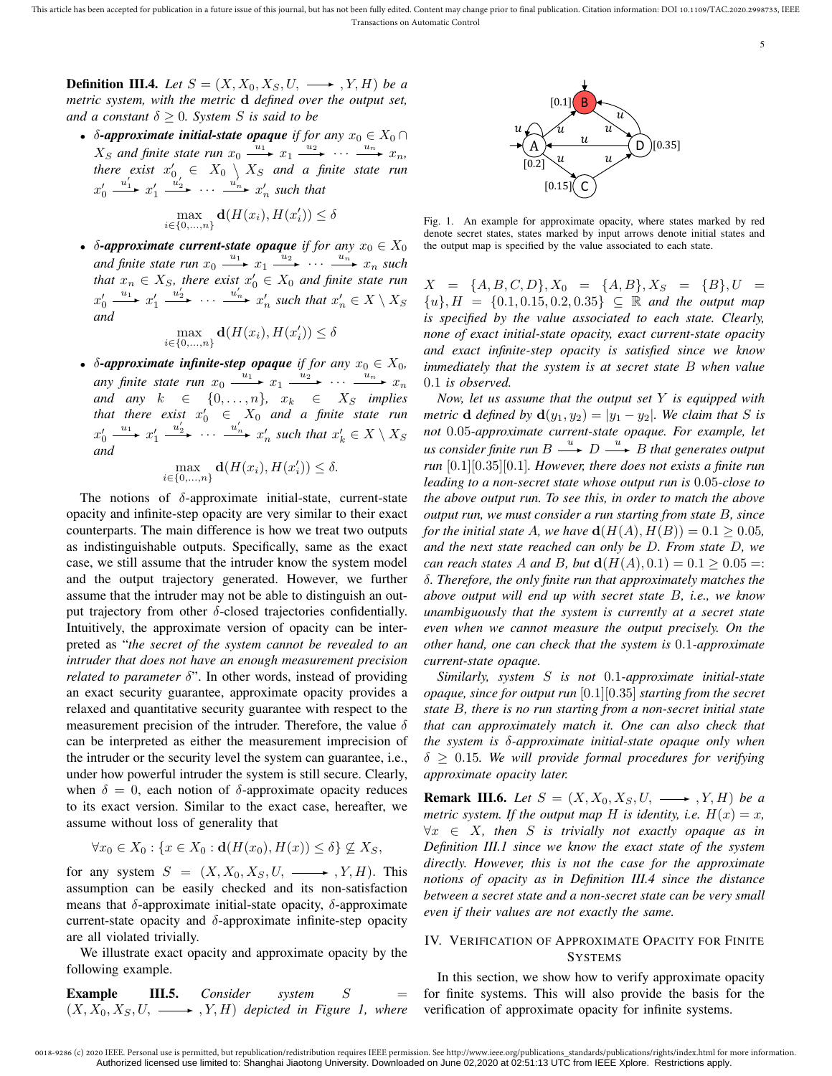**Definition III.4.** Let  $S = (X, X_0, X_S, U, \longrightarrow, Y, H)$  be a *metric system, with the metric* d *defined over the output set, and a constant*  $\delta \geq 0$ *. System S is said to be* 

•  $\delta$ -*approximate initial-state opaque if for any*  $x_0 \in X_0 \cap$  $X_S$  and finite state run  $x_0 \xrightarrow{u_1} x_1 \xrightarrow{v_2} \cdots \xrightarrow{u_n} x_n$ , *there exist*  $x'_0$   $\in$   $X_0 \setminus X_S$  *and a finite state run*  $x'_0$  $\overset{u_1'}{\longrightarrow} x_1'$  $\frac{u'_2}{\cdots}$   $\cdots$   $\frac{u'_n}{\cdots}$   $\bar{x}'_n$  such that

$$
\max_{i \in \{0, \dots, n\}} \mathbf{d}(H(x_i), H(x_i')) \le \delta
$$

•  $\delta$ -*approximate current-state opaque if for any*  $x_0 \in X_0$ and finite state run  $x_0 \xrightarrow{u_1} x_1 \xrightarrow{u_2} \cdots \xrightarrow{u_n} x_n$  such *that*  $x_n \in X_S$ , there exist  $x'_0 \in X_0$  and finite state run  $x'_0 \xrightarrow{u_1} x'_1$  $\frac{u'_2}{2}$   $\cdots$   $\frac{u'_n}{2}$   $x'_n$  such that  $x'_n \in X \setminus X_S$ *and*

$$
\max_{i\in\{0,\ldots,n\}}\mathbf{d}(H(x_i),H(x'_i))\leq\delta
$$

•  $\delta$ -approximate infinite-step opaque *if for any*  $x_0 \in X_0$ , *any finite state run*  $x_0 \xrightarrow{u_1} x_1 \xrightarrow{u_2} \cdots \xrightarrow{u_n} x_n$ *and any*  $k \in \{0, \ldots, n\}$ ,  $x_k \in X_S$  *implies that there exist*  $x'_0 \in X_0$  *and a finite state run*  $x'_0 \xrightarrow{u_1} x'_1$  $\overrightarrow{u'_2}$   $\cdots$   $\overrightarrow{u'_n}$   $x'_n$  such that  $x'_k \in X \setminus X_S$ *and*

$$
\max_{i \in \{0, \ldots, n\}} \mathbf{d}(H(x_i), H(x_i')) \le \delta.
$$

The notions of  $\delta$ -approximate initial-state, current-state opacity and infinite-step opacity are very similar to their exact counterparts. The main difference is how we treat two outputs as indistinguishable outputs. Specifically, same as the exact case, we still assume that the intruder know the system model and the output trajectory generated. However, we further assume that the intruder may not be able to distinguish an output trajectory from other  $\delta$ -closed trajectories confidentially. Intuitively, the approximate version of opacity can be interpreted as "*the secret of the system cannot be revealed to an intruder that does not have an enough measurement precision related to parameter* δ". In other words, instead of providing an exact security guarantee, approximate opacity provides a relaxed and quantitative security guarantee with respect to the measurement precision of the intruder. Therefore, the value  $\delta$ can be interpreted as either the measurement imprecision of the intruder or the security level the system can guarantee, i.e., under how powerful intruder the system is still secure. Clearly, when  $\delta = 0$ , each notion of  $\delta$ -approximate opacity reduces to its exact version. Similar to the exact case, hereafter, we assume without loss of generality that

$$
\forall x_0 \in X_0 : \{x \in X_0 : \mathbf{d}(H(x_0), H(x)) \le \delta\} \not\subseteq X_S,
$$

for any system  $S = (X, X_0, X_S, U, \longrightarrow, Y, H)$ . This assumption can be easily checked and its non-satisfaction means that  $\delta$ -approximate initial-state opacity,  $\delta$ -approximate current-state opacity and  $\delta$ -approximate infinite-step opacity are all violated trivially.

We illustrate exact opacity and approximate opacity by the following example.

**Example III.5.** *Consider system*  $S =$  $(X, X_0, X_S, U, \longrightarrow, Y, H)$  *depicted in Figure 1, where* 



5

 the output map is specified by the value associated to each state. note initial states and<br>anch state Fig. 1. An example for approximate opacity, where states marked by red denote secret states, states marked by input arrows denote initial states and

[0.35]<br>
ere states marked by red<br>
s denote initial states and<br>
to each state.<br>  $X_S = \{B\}, U =$ <br>
and the output map<br>
each state. Clearly,<br>
current-state opacity<br>
fied since we know<br>
state R when yalue **B**<br> *u*<br> *u*<br> *u*<br>
(*C*)<br>
imate opacity, where states marked by red<br>
d by input arrows denote initial states and<br>
e value associated to each state.<br>  $A, B$ ,  $X_S = {B}$ ,  $U =$ <br>  $0.35$ }  $\subseteq \mathbb{R}$  and the output map<br>
associate (0.1) B<br>
(0.2)  $u$   $u$  (D)[0.35]<br>
(0.2)  $u$   $u$  (D)[0.35]<br>
(0.15](C)<br>
(2)[0.35]<br>
(0.15](C)<br>
(2)[0.35]<br>
(0.15](C)<br>
(2)[0.35]<br>
(0.15](C)<br>
(2)[0.35]<br>
(2)[0.35]<br>
(2)[0.35]<br>
(3)[0.35]<br>
(3)[0.35]<br>
(4)[0.35]<br>
(4)[0.35]<br>
(3)[0.35 [0.15] [C<br>
example for approximate opacity, where states marked by red<br>
t states, states marked by input arrows denote initial states and<br>
hap is specified by the value associated to each state.<br>
A, B, C, D},  $X_0 = \{A, B\}$ C<br>
E<br>
ate opacity, where states marked by red<br>
by input arrows denote initial states and<br>
value associated to each state.<br>  $\{A, B\}, X_S = \{B\}, U =$ <br>  $\{3, 5\} \subseteq \mathbb{R}$  and the output map<br>
ssociated to each state. Clearly,<br>
sac  $X = \{A, B, C, D\}, X_0 = \{A, B\}, X_S = \{B\}, U =$  *is specified by the value associated to each state. Clearly,*  ${u}, H = {0.1, 0.15, 0.2, 0.35} \subseteq \mathbb{R}$  *and the output map none of exact initial-state opacity, exact current-state opacity and exact infinite-step opacity is satisfied since we know immediately that the system is at secret state* B *when value* 0.1 *is observed.*

re states marked by red<br>denote initial states and<br> $\log S_S = \{B\}$ ,  $U =$ <br>nd the output map<br>each state. Clearly,<br>urrent-state opacity<br>ed since we know<br>state B when value<br>Y is equipped with<br>We claim that S is<br>e. For example, le mate opacity, where states marked by red<br>
d by input arrows denote initial states and<br>  $:$  value associated to each state.<br>  $= \{A, B\}, X_S = \{B\}, U = 0.35\} \subseteq \mathbb{R}$  and the output map<br>
associated to each state. Clearly,<br>
opaci ample for approximate opacity, where states marked by red<br>tates, states marked by input arrows denote initial states and<br>is specified by the value associated to each state.<br> $B, C, D$ ,  $X_0 = \{A, B\}, X_S = \{B\}, U =$ <br>{0.1, 0.15, 0.2 *Now, let us assume that the output set* Y *is equipped with* us consider finite run  $B \stackrel{u}{\longrightarrow} D \stackrel{u}{\longrightarrow} B$  that generates output *not* 0.05*-approximate current-state opaque. For example, let metric* **d** *defined by* **d**( $y_1, y_2$ ) =  $|y_1 - y_2|$ *. We claim that S is run* [0.1][0.35][0.1]*. However, there does not exists a finite run leading to a non-secret state whose output run is* 0.05*-close to the above output run. To see this, in order to match the above output run, we must consider a run starting from state* B*, since for the initial state* A*, we have*  $d(H(A), H(B)) = 0.1 > 0.05$ *, and the next state reached can only be* D*. From state* D*, we can reach states* A *and* B, but  $d(H(A), 0.1) = 0.1 > 0.05 =$ : δ*. Therefore, the only finite run that approximately matches the above output will end up with secret state* B*, i.e., we know unambiguously that the system is currently at a secret state even when we cannot measure the output precisely. On the other hand, one can check that the system is* 0.1*-approximate current-state opaque.*

*Similarly, system* S *is not* 0.1*-approximate initial-state opaque, since for output run* [0.1][0.35] *starting from the secret state* B*, there is no run starting from a non-secret initial state that can approximately match it. One can also check that the system is* δ*-approximate initial-state opaque only when*  $\delta \geq 0.15$ *. We will provide formal procedures for verifying approximate opacity later.*

**Remark III.6.** Let  $S = (X, X_0, X_S, U, \longrightarrow, Y, H)$  be a *metric system. If the output map H is identity, i.e.*  $H(x) = x$ *,* ∀x ∈ X*, then* S *is trivially not exactly opaque as in Definition III.1 since we know the exact state of the system directly. However, this is not the case for the approximate notions of opacity as in Definition III.4 since the distance between a secret state and a non-secret state can be very small even if their values are not exactly the same.*

## IV. VERIFICATION OF APPROXIMATE OPACITY FOR FINITE **SYSTEMS**

In this section, we show how to verify approximate opacity for finite systems. This will also provide the basis for the verification of approximate opacity for infinite systems.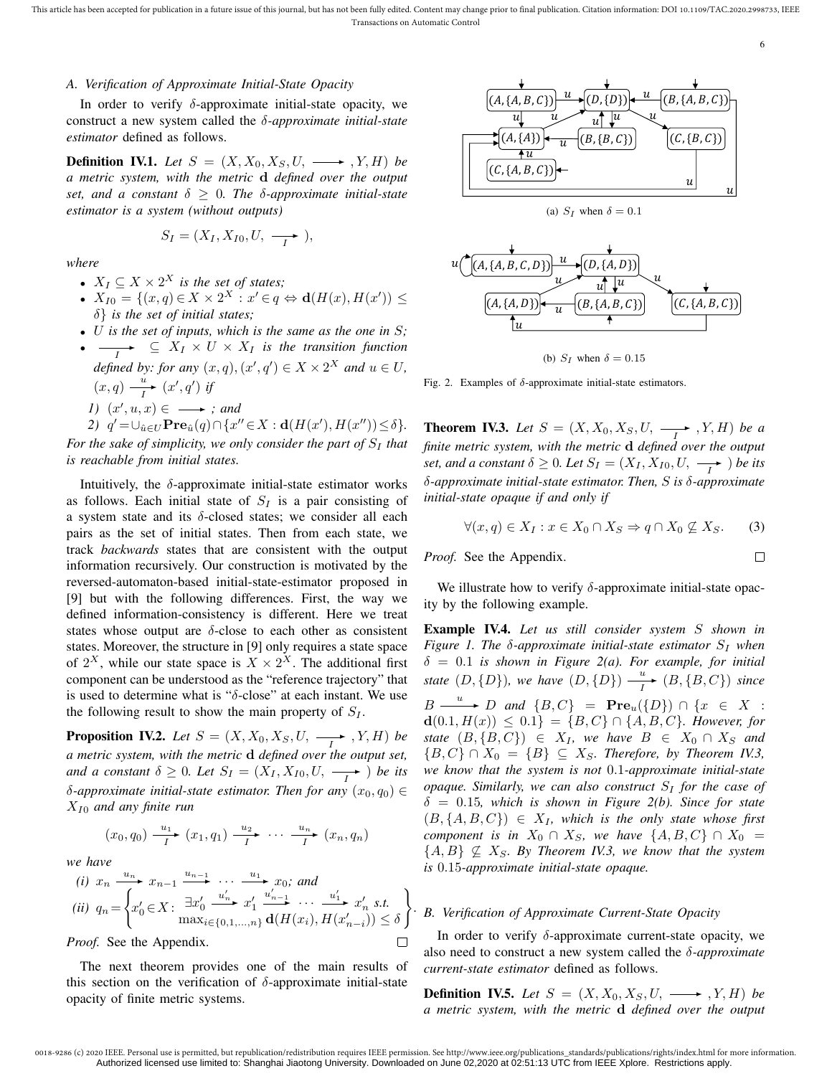$\Box$ 

#### *A. Verification of Approximate Initial-State Opacity*

In order to verify  $\delta$ -approximate initial-state opacity, we construct a new system called the δ*-approximate initial-state estimator* defined as follows.

**Definition IV.1.** Let  $S = (X, X_0, X_S, U, \longrightarrow, Y, H)$  be *a metric system, with the metric* d *defined over the output set, and a constant* δ ≥ 0*. The* δ*-approximate initial-state estimator is a system (without outputs)*

$$
S_I = (X_I, X_{I0}, U, \xrightarrow{\quad} ),
$$

*where*

- $X_I \subseteq X \times 2^X$  is the set of states;
- $X_{I0} = \{(x, q) \in X \times 2^X : x' \in q \Leftrightarrow \mathbf{d}(H(x), H(x')) \leq$ δ} *is the set of initial states;*
- U *is the set of inputs, which is the same as the one in* S*;* •  $\frac{1}{\sqrt{1 + \sum_{i=1}^{n} X_i}} \subseteq X_I \times U \times X_I$  *is the transition function*
- $\lim_{x \to a} \frac{1}{b}$  for any  $(x, q), (x', q') \in X \times 2^X$  and  $u \in U$ ,  $(x,q) \frac{u}{\sigma}$  $\frac{u}{I}$  (x', q') if *1*)  $(x', u, x) \in \longrightarrow$  *; and* 2)  $q' = \bigcup_{\hat{u} \in U} \mathbf{Pre}_{\hat{u}}(q) \cap \{x'' \in X : \mathbf{d}(H(x'), H(x'')) \leq \delta\}.$

*For the sake of simplicity, we only consider the part of*  $S_I$  *that is reachable from initial states.*

Intuitively, the  $\delta$ -approximate initial-state estimator works as follows. Each initial state of  $S_I$  is a pair consisting of a system state and its  $\delta$ -closed states; we consider all each pairs as the set of initial states. Then from each state, we track *backwards* states that are consistent with the output information recursively. Our construction is motivated by the reversed-automaton-based initial-state-estimator proposed in [9] but with the following differences. First, the way we defined information-consistency is different. Here we treat states whose output are  $\delta$ -close to each other as consistent states. Moreover, the structure in [9] only requires a state space of  $2^X$ , while our state space is  $X \times 2^X$ . The additional first component can be understood as the "reference trajectory" that is used to determine what is " $\delta$ -close" at each instant. We use the following result to show the main property of  $S_I$ .

**Proposition IV.2.** Let  $S = (X, X_0, X_S, U, \longrightarrow Y, H)$  be *a metric system, with the metric* d *defined over the output set,* and a constant  $\delta \geq 0$ . Let  $S_I = (X_I, X_{I0}, U, \frac{1}{I})$  be its δ-approximate initial-state estimator. Then for any  $(x<sub>0</sub>, q<sub>0</sub>)$  ∈ XI<sup>0</sup> *and any finite run*

$$
(x_0, q_0) \xrightarrow{u_1} (x_1, q_1) \xrightarrow{u_2} \cdots \xrightarrow{l_n} (x_n, q_n)
$$

*we have*

(i) 
$$
x_n \xrightarrow{u_n} x_{n-1} \xrightarrow{u_{n-1}} \cdots \xrightarrow{u_1} x_0
$$
; and  
\n(ii)  $q_n = \left\{ x'_0 \in X : \exists x'_0 \xrightarrow{u'_n} x'_1 \xrightarrow{u'_{n-1}} \cdots \xrightarrow{u'_1} x'_n$  s.t.  $\max_{i \in \{0,1,\ldots,n\}} \mathbf{d}(H(x_i), H(x'_{n-i})) \le \delta \right\}$   
\nProof See the Appendix

*Proof.* See the Appendix.

The next theorem provides one of the main results of this section on the verification of  $\delta$ -approximate initial-state opacity of finite metric systems.







(b)  $S_I$  when  $\delta = 0.15$ 

Fig. 2. Examples of δ-approximate initial-state estimators.

**Theorem IV.3.** Let  $S = (X, X_0, X_S, U, \longrightarrow, Y, H)$  be a *finite metric system, with the metric* d *defined over the output* set, and a constant  $\delta \geq 0$ . Let  $S_I = (X_I, X_{I0}, U, \frac{1}{I^*})$  be its δ*-approximate initial-state estimator. Then,* S *is* δ*-approximate initial-state opaque if and only if*

$$
\forall (x,q) \in X_I : x \in X_0 \cap X_S \Rightarrow q \cap X_0 \nsubseteq X_S. \tag{3}
$$

*Proof.* See the Appendix.

We illustrate how to verify  $\delta$ -approximate initial-state opacity by the following example.

Example IV.4. *Let us still consider system* S *shown in Figure 1. The*  $\delta$ -*approximate initial-state estimator*  $S_I$  *when*  $\delta = 0.1$  *is shown in Figure 2(a). For example, for initial state*  $(D, \{D\})$ *, we have*  $(D, \{D\}) - \frac{u}{L}$  $\frac{u}{I}$  (*B*, {*B*, *C*}) *since*  $B \longrightarrow D$  *and*  $\{B, C\} = \text{Pre}_u(\{D\}) \cap \{x \in X :$  $d(0.1, H(x)) \leq 0.1$ } = {B, C} ∩ {A, B, C}. However, for *state*  $(B, \{B, C\}) \in X_I$ *, we have*  $B \in X_0 \cap X_S$  *and*  ${B, C} \cap X_0 = {B} \subseteq X_S$ *. Therefore, by Theorem IV.3, we know that the system is not* 0.1*-approximate initial-state opaque. Similarly, we can also construct*  $S_I$  *for the case of*  $\delta = 0.15$ , which is shown in Figure 2(b). Since for state  $(B, \{A, B, C\}) \in X_I$ , which is the only state whose first *component is in*  $X_0 \cap X_S$ *, we have*  $\{A, B, C\} \cap X_0 =$  ${A, B} \not\subseteq X_S$ *. By Theorem IV.3, we know that the system is* 0.15*-approximate initial-state opaque.*

# *. B. Verification of Approximate Current-State Opacity*

In order to verify  $\delta$ -approximate current-state opacity, we also need to construct a new system called the δ*-approximate current-state estimator* defined as follows.

**Definition IV.5.** Let  $S = (X, X_0, X_S, U, \longrightarrow, Y, H)$  be *a metric system, with the metric* d *defined over the output*

<sup>0018-9286 (</sup>c) 2020 IEEE. Personal use is permitted, but republication/redistribution requires IEEE permission. See http://www.ieee.org/publications\_standards/publications/rights/index.html for more information. Authorized licensed use limited to: Shanghai Jiaotong University. Downloaded on June 02,2020 at 02:51:13 UTC from IEEE Xplore. Restrictions apply.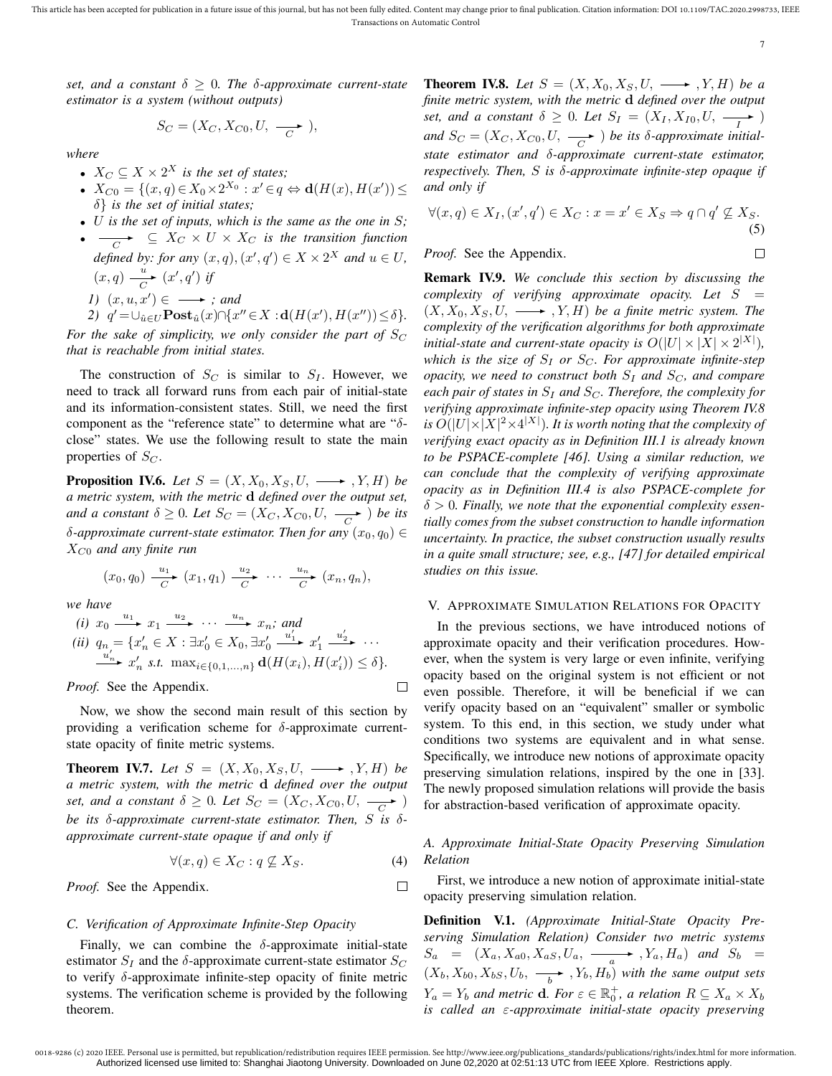$\Box$ 

*set, and a constant* δ ≥ 0*. The* δ*-approximate current-state estimator is a system (without outputs)*

$$
S_C = (X_C, X_{C0}, U, \xrightarrow[C \to V],
$$

*where*

- $X_C \subseteq X \times 2^X$  is the set of states;
- $X_{C0} = \{(x, q) \in X_0 \times 2^{X_0} : x' \in q \Leftrightarrow d(H(x), H(x')) \le$ δ} *is the set of initial states;*
- U *is the set of inputs, which is the same as the one in* S*;*
- $\frac{d}{d}$   $\frac{d}{d}$   $\frac{d}{d}$   $\frac{d}{d}$   $\frac{d}{d}$   $\frac{d}{d}$   $\frac{d}{d}$   $\frac{d}{d}$   $\frac{d}{d}$  *is the transition function defined by: for any*  $(x, q), (x', q') \in X \times 2^X$  *and*  $u \in U$ ,  $(x,q)$   $\frac{u}{a}$  $\frac{u}{C}$  (x', q') if
	- *1*)  $(x, u, x') \in \longrightarrow$  *;* and
	- 2)  $q' = \bigcup_{\hat{u} \in U} \textbf{Post}_{\hat{u}}(x) \cap \{x'' \in X : \mathbf{d}(H(x'), H(x'')) \le \delta\}.$

For the sake of simplicity, we only consider the part of  $S_C$ *that is reachable from initial states.*

The construction of  $S_C$  is similar to  $S_I$ . However, we need to track all forward runs from each pair of initial-state and its information-consistent states. Still, we need the first component as the "reference state" to determine what are "δclose" states. We use the following result to state the main properties of  $S_C$ .

**Proposition IV.6.** Let  $S = (X, X_0, X_S, U, \longrightarrow, Y, H)$  be *a metric system, with the metric* d *defined over the output set, a a constant*  $\delta \geq 0$ *. Let*  $S_C = (X_C, X_{C0}, U, \frac{\epsilon}{C})$  *be its* δ-approximate current-state estimator. Then for any  $(x<sub>0</sub>, q<sub>0</sub>)$  ∈ XC<sup>0</sup> *and any finite run*

$$
(x_0, q_0) \xrightarrow{\; u_1 \; } (x_1, q_1) \xrightarrow{\; u_2 \; } \cdots \xrightarrow{\; u_n \; } (x_n, q_n),
$$

*we have*

(i) 
$$
x_0 \xrightarrow{u_1} x_1 \xrightarrow{u_2} \cdots \xrightarrow{u_n} x_n
$$
; and  
\n(ii)  $q_n = \{x'_n \in X : \exists x'_0 \in X_0, \exists x'_0 \xrightarrow{u'_1} x'_1 \xrightarrow{u'_2} \cdots$   
\n $\xrightarrow{u'_n} x'_n$  s.t.  $\max_{i \in \{0,1,\ldots,n\}} d(H(x_i), H(x'_i)) \le \delta\}.$ 

*Proof.* See the Appendix.

 $\Box$ 

 $\Box$ 

Now, we show the second main result of this section by providing a verification scheme for  $\delta$ -approximate currentstate opacity of finite metric systems.

**Theorem IV.7.** Let  $S = (X, X_0, X_S, U, \longrightarrow, Y, H)$  be *a metric system, with the metric* d *defined over the output* set, and a constant  $\delta \geq 0$ . Let  $S_C = (X_C, X_{C0}, U, \frac{C}{C^*})$ *be its* δ*-approximate current-state estimator. Then,* S *is* δ*approximate current-state opaque if and only if*

$$
\forall (x,q) \in X_C : q \nsubseteq X_S. \tag{4}
$$

*Proof.* See the Appendix.

## *C. Verification of Approximate Infinite-Step Opacity*

Finally, we can combine the  $\delta$ -approximate initial-state estimator  $S_I$  and the  $\delta$ -approximate current-state estimator  $S_C$ to verify δ-approximate infinite-step opacity of finite metric systems. The verification scheme is provided by the following theorem.

**Theorem IV.8.** Let  $S = (X, X_0, X_S, U, \longrightarrow, Y, H)$  be a *finite metric system, with the metric* d *defined over the output* set, and a constant  $\delta \geq 0$ . Let  $S_I = (X_I, X_{I0}, U, \frac{1}{I})$ and  $S_C = (X_C, X_{C0}, U, \overline{C})$  *be its δ-approximate initialstate estimator and* δ*-approximate current-state estimator, respectively. Then,* S *is* δ*-approximate infinite-step opaque if and only if*

$$
\forall (x,q) \in X_I, (x',q') \in X_C : x = x' \in X_S \Rightarrow q \cap q' \not\subseteq X_S. \tag{5}
$$

*Proof.* See the Appendix.

Remark IV.9. *We conclude this section by discussing the complexity of verifying approximate opacity. Let* S =  $(X, X_0, X_S, U, \longrightarrow, Y, H)$  be a finite metric system. The *complexity of the verification algorithms for both approximate initial-state and current-state opacity is*  $O(|U| \times |X| \times 2^{|X|})$ , *which is the size of*  $S_I$  *or*  $S_C$ *. For approximate infinite-step opacity, we need to construct both*  $S_I$  *and*  $S_C$ *, and compare each pair of states in*  $S_I$  *and*  $S_C$ *. Therefore, the complexity for verifying approximate infinite-step opacity using Theorem IV.8* is  $O(|U|\times|X|^2\times4^{|X|})$ . It is worth noting that the complexity of *verifying exact opacity as in Definition III.1 is already known to be PSPACE-complete [46]. Using a similar reduction, we can conclude that the complexity of verifying approximate opacity as in Definition III.4 is also PSPACE-complete for* δ > 0*. Finally, we note that the exponential complexity essentially comes from the subset construction to handle information uncertainty. In practice, the subset construction usually results in a quite small structure; see, e.g., [47] for detailed empirical studies on this issue.*

## V. APPROXIMATE SIMULATION RELATIONS FOR OPACITY

In the previous sections, we have introduced notions of approximate opacity and their verification procedures. However, when the system is very large or even infinite, verifying opacity based on the original system is not efficient or not even possible. Therefore, it will be beneficial if we can verify opacity based on an "equivalent" smaller or symbolic system. To this end, in this section, we study under what conditions two systems are equivalent and in what sense. Specifically, we introduce new notions of approximate opacity preserving simulation relations, inspired by the one in [33]. The newly proposed simulation relations will provide the basis for abstraction-based verification of approximate opacity.

## *A. Approximate Initial-State Opacity Preserving Simulation Relation*

First, we introduce a new notion of approximate initial-state opacity preserving simulation relation.

Definition V.1. *(Approximate Initial-State Opacity Preserving Simulation Relation) Consider two metric systems*  $S_a = (X_a, X_{a0}, X_{aS}, U_a, \frac{\dots}{a}, X_a, H_a)$  and  $S_b =$  $(X_b, X_{b0}, X_{bS}, U_b, \longrightarrow, Y_b, H_b)$ <sup>a</sup> with the same output sets  $Y_a = Y_b$  and metric **d**. For  $\varepsilon \in \mathbb{R}_0^+$ , a relation  $R \subseteq X_a \times X_b$ *is called an* ε*-approximate initial-state opacity preserving*

<sup>0018-9286 (</sup>c) 2020 IEEE. Personal use is permitted, but republication/redistribution requires IEEE permission. See http://www.ieee.org/publications\_standards/publications/rights/index.html for more information. Authorized licensed use limited to: Shanghai Jiaotong University. Downloaded on June 02,2020 at 02:51:13 UTC from IEEE Xplore. Restrictions apply.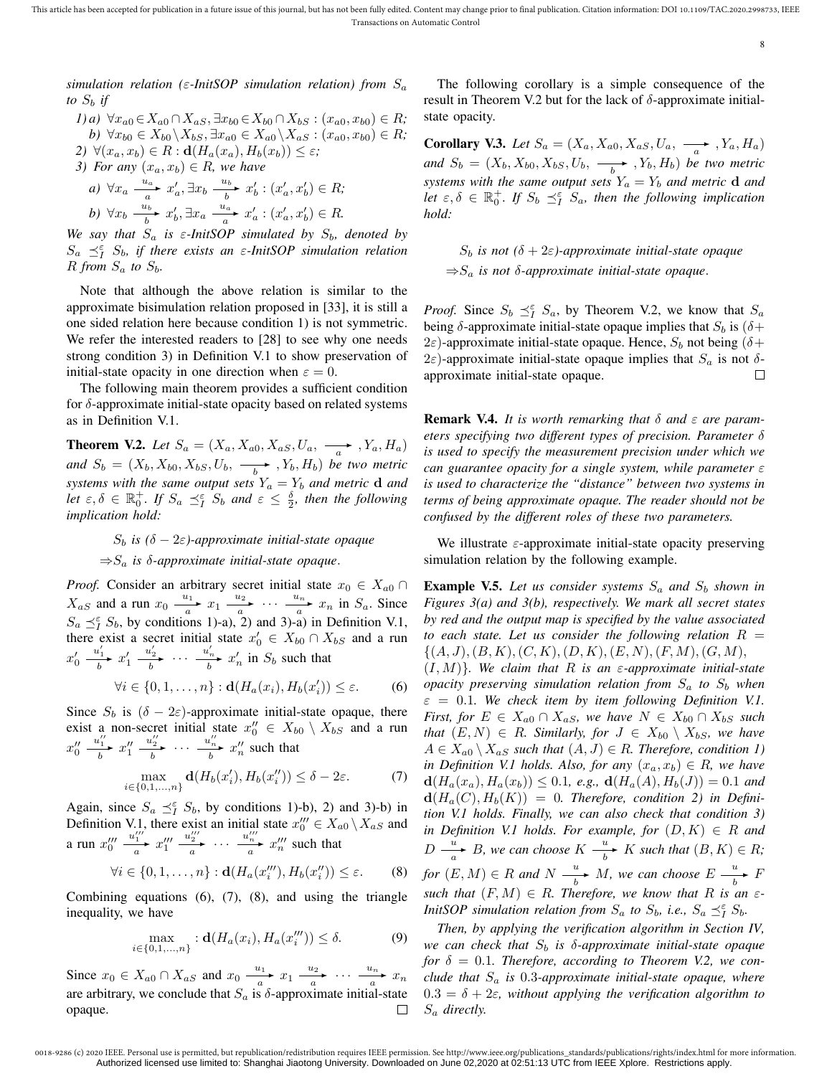*simulation relation (*ε*-InitSOP simulation relation) from* S<sup>a</sup> *to*  $S_b$  *if* 

- *1) a)*  $\forall x_{a0} \in X_{a0} \cap X_{aS}, \exists x_{b0} \in X_{b0} \cap X_{bS} : (x_{a0}, x_{b0}) \in R;$ *b*)  $\forall x_{b0} \in X_{b0} \setminus X_{bS}, \exists x_{a0} \in X_{a0} \setminus X_{aS} : (x_{a0}, x_{b0}) \in R;$ *2*)  $\forall (x_a, x_b) \in R : \mathbf{d}(H_a(x_a), H_b(x_b)) \leq \varepsilon$ ;
- *3) For any*  $(x_a, x_b) \in R$ *, we have* 
	- *a*)  $\forall x_a \frac{u_a}{a_a}$  $\frac{u_a}{a}$   $x'_a$ ,  $\exists x_b \frac{u_b}{b}$  $\frac{a_b}{b}$  **x**<sub>b</sub><sup>1</sup> :  $(x'_a, x'_b) \in R$ ; b)  $\forall x_b \frac{u_b}{h}$  $\frac{u_b}{b}$   $x'_b$ ,  $\exists x_a \frac{u_a}{a}$  $\frac{a}{a}$   $x'_{a}$  :  $(x'_{a}, x'_{b}) \in R$ .

*We say that*  $S_a$  *is*  $\varepsilon$ -*InitSOP simulated by*  $S_b$ *, denoted by*  $S_a \preceq_I^{\varepsilon} S_b$ , if there exists an  $\varepsilon$ -InitSOP simulation relation  $R$  *from*  $S_a$  *to*  $S_b$ .

Note that although the above relation is similar to the approximate bisimulation relation proposed in [33], it is still a one sided relation here because condition 1) is not symmetric. We refer the interested readers to [28] to see why one needs strong condition 3) in Definition V.1 to show preservation of initial-state opacity in one direction when  $\varepsilon = 0$ .

The following main theorem provides a sufficient condition for  $\delta$ -approximate initial-state opacity based on related systems as in Definition V.1.

**Theorem V.2.** Let  $S_a = (X_a, X_{a0}, X_{aS}, U_a, \overrightarrow{a} , Y_a, H_a)$ and  $S_b = (X_b, X_{b0}, X_{bS}, U_b, \longrightarrow, Y_b, H_b)$  *be two metric systems with the same output sets*  $Y_a = Y_b$  *and metric* **d** *and* Let  $\varepsilon, \delta \in \mathbb{R}_0^+$ . If  $S_a \preceq^{\varepsilon}_I S_b$  and  $\varepsilon \leq \frac{\delta}{2}$ , then the following *implication hold:*

# S<sup>b</sup> *is (*δ − 2ε*)-approximate initial-state opaque* ⇒S<sup>a</sup> *is* δ*-approximate initial-state opaque*.

*Proof.* Consider an arbitrary secret initial state  $x_0 \in X_{a0} \cap$  $X_{aS}$  and a run  $x_0 \frac{u_1}{a}$  $rac{u_1}{a}$   $x_1 \frac{u_2}{a}$  $rac{u_2}{a}$   $\cdots$   $rac{u_n}{a}$  $rac{u_n}{a}$  x<sub>n</sub> in  $S_a$ . Since  $S_a \preceq_I^{\varepsilon} S_b$ , by conditions 1)-a), 2) and 3)-a) in Definition V.1, there exist a secret initial state  $x'_0 \in X_{b0} \cap X_{bS}$  and a run  $x'_0$  $u_1'$  $\frac{u'_1}{b}$   $x'_1$  $u_2'$  $\frac{u'_2}{b}$   $\cdots$   $\frac{u'_n}{b}$  $\frac{u'_n}{b}$  x'<sub>n</sub> in S<sub>b</sub> such that

$$
\forall i \in \{0, 1, \dots, n\} : \mathbf{d}(H_a(x_i), H_b(x_i')) \le \varepsilon. \tag{6}
$$

Since  $S_b$  is  $(\delta - 2\varepsilon)$ -approximate initial-state opaque, there exist a non-secret initial state  $x_0'' \in X_{b0} \setminus X_{bS}$  and a run  $x_0''$  $u_1^{\prime\prime}$  $\frac{u_1^{\prime\prime}}{b}$   $x_1^{\prime\prime}$  $u_2^{\prime\prime}$  $\frac{u''_2}{b}$   $\cdots$   $\frac{u''_n}{b}$  $\frac{u''_n}{b}$   $x''_n$  such that

$$
\max_{i \in \{0,1,\dots,n\}} \mathbf{d}(H_b(x_i'), H_b(x_i'')) \le \delta - 2\varepsilon. \tag{7}
$$

Again, since  $S_a \preceq_I^{\epsilon} S_b$ , by conditions 1)-b), 2) and 3)-b) in Definition V.1, there exist an initial state  $x_0''' \in X_{a0} \setminus X_{aS}$  and a run  $x_0'''$  $u_1'''$  $\frac{y_1^{\prime\prime\prime}}{a}$   $x_1^{\prime\prime\prime}$  $u_2'''$  $rac{u''_2}{a}$   $\cdots$   $rac{u''_n}{a}$  $\frac{m'}{a}$   $\rightarrow$   $x_n'''$  such that

$$
\forall i \in \{0, 1, \dots, n\} : \mathbf{d}(H_a(x_i'''), H_b(x_i'')) \le \varepsilon. \tag{8}
$$

Combining equations  $(6)$ ,  $(7)$ ,  $(8)$ , and using the triangle inequality, we have

$$
\max_{i \in \{0, 1, ..., n\}} : \mathbf{d}(H_a(x_i), H_a(x_i'')) \le \delta. \tag{9}
$$

Since  $x_0 \in X_{a0} \cap X_{aS}$  and  $x_0 \frac{u_1}{a}$  $rac{u_1}{a}$   $x_1 \frac{u_2}{a}$  $rac{u_2}{a}$   $\cdots$   $rac{u_n}{a}$  $rac{u_n}{a}$   $x_n$ are arbitrary, we conclude that  $S_a$  is  $\delta$ -approximate initial-state opaque.  $\Box$ 

The following corollary is a simple consequence of the result in Theorem V.2 but for the lack of  $\delta$ -approximate initialstate opacity.

**Corollary V.3.** Let  $S_a = (X_a, X_{a0}, X_{aS}, U_a, \longrightarrow, Y_a, H_a)$ and  $S_b = (X_b, X_{b0}, X_{bS}, U_b, \longrightarrow, Y_b, H_b)$  *be two metric systems with the same output sets*  $Y_a = Y_b$  *and metric* **d** *and* Let  $\varepsilon, \delta \in \mathbb{R}_0^+$ . If  $S_b \preceq_I^{\varepsilon} S_a$ , then the following implication *hold:*

S<sup>b</sup> *is not (*δ + 2ε*)-approximate initial-state opaque* ⇒S<sup>a</sup> *is not* δ*-approximate initial-state opaque*.

*Proof.* Since  $S_b \preceq_I^{\varepsilon} S_a$ , by Theorem V.2, we know that  $S_a$ being  $\delta$ -approximate initial-state opaque implies that  $S_b$  is  $(\delta +$  $2\varepsilon$ )-approximate initial-state opaque. Hence,  $S_b$  not being ( $\delta +$  $2\varepsilon$ )-approximate initial-state opaque implies that  $S_a$  is not  $\delta$ approximate initial-state opaque.  $\Box$ 

Remark V.4. *It is worth remarking that* δ *and* ε *are parameters specifying two different types of precision. Parameter* δ *is used to specify the measurement precision under which we can guarantee opacity for a single system, while parameter* ε *is used to characterize the "distance" between two systems in terms of being approximate opaque. The reader should not be confused by the different roles of these two parameters.*

We illustrate  $\varepsilon$ -approximate initial-state opacity preserving simulation relation by the following example.

**Example V.5.** Let us consider systems  $S_a$  and  $S_b$  shown in *Figures 3(a) and 3(b), respectively. We mark all secret states by red and the output map is specified by the value associated to each state. Let us consider the following relation*  $R =$  $\{(A, J), (B, K), (C, K), (D, K), (E, N), (F, M), (G, M),\}$ 

(I, M)}*. We claim that* R *is an* ε*-approximate initial-state opacity preserving simulation relation from*  $S_a$  *to*  $S_b$  *when*  $\varepsilon = 0.1$ *. We check item by item following Definition V.1. First, for*  $E \in X_{a0} \cap X_{aS}$ *, we have*  $N \in X_{b0} \cap X_{bS}$  *such that*  $(E, N) \in R$ *. Similarly, for*  $J \in X_{b0} \setminus X_{bS}$ *, we have*  $A \in X_{a0} \setminus X_{aS}$  *such that*  $(A, J) \in R$ *. Therefore, condition 1) in Definition V.1 holds. Also, for any*  $(x_a, x_b) \in R$ *, we have*  $d(H_a(x_a), H_a(x_b)) \leq 0.1$ , e.g.,  $d(H_a(A), H_b(J)) = 0.1$  and  $d(H_a(C), H_b(K)) = 0$ . Therefore, condition 2) in Defini*tion V.1 holds. Finally, we can also check that condition 3) in Definition V.1 holds. For example, for*  $(D, K) \in R$  and  $D\stackrel{u}{\rightharpoonup}$  $\frac{u}{a}$  B, we can choose  $K - \frac{u}{b}$  $\frac{u}{b}$  K such that  $(B, K) \in R$ ; *for*  $(E, M) \in R$  *and*  $N - \frac{u}{L}$  $\frac{u}{b}$  M, we can choose  $E - \frac{u}{b}$  $\frac{u}{b}$  F *such that*  $(F, M) \in R$ *. Therefore, we know that* R *is an*  $\varepsilon$ -*InitSOP simulation relation from*  $S_a$  *to*  $S_b$ *, i.e.,*  $S_a \preceq^{\varepsilon}_I S_b$ *.* 

*Then, by applying the verification algorithm in Section IV, we can check that*  $S_b$  *is*  $\delta$ *-approximate initial-state opaque for*  $\delta = 0.1$ *. Therefore, according to Theorem V.2, we conclude that*  $S_a$  *is* 0.3-*approximate initial-state opaque, where*  $0.3 = \delta + 2\varepsilon$ , without applying the verification algorithm to S<sup>a</sup> *directly.*

<sup>0018-9286 (</sup>c) 2020 IEEE. Personal use is permitted, but republication/redistribution requires IEEE permission. See http://www.ieee.org/publications\_standards/publications/rights/index.html for more information. Authorized licensed use limited to: Shanghai Jiaotong University. Downloaded on June 02,2020 at 02:51:13 UTC from IEEE Xplore. Restrictions apply.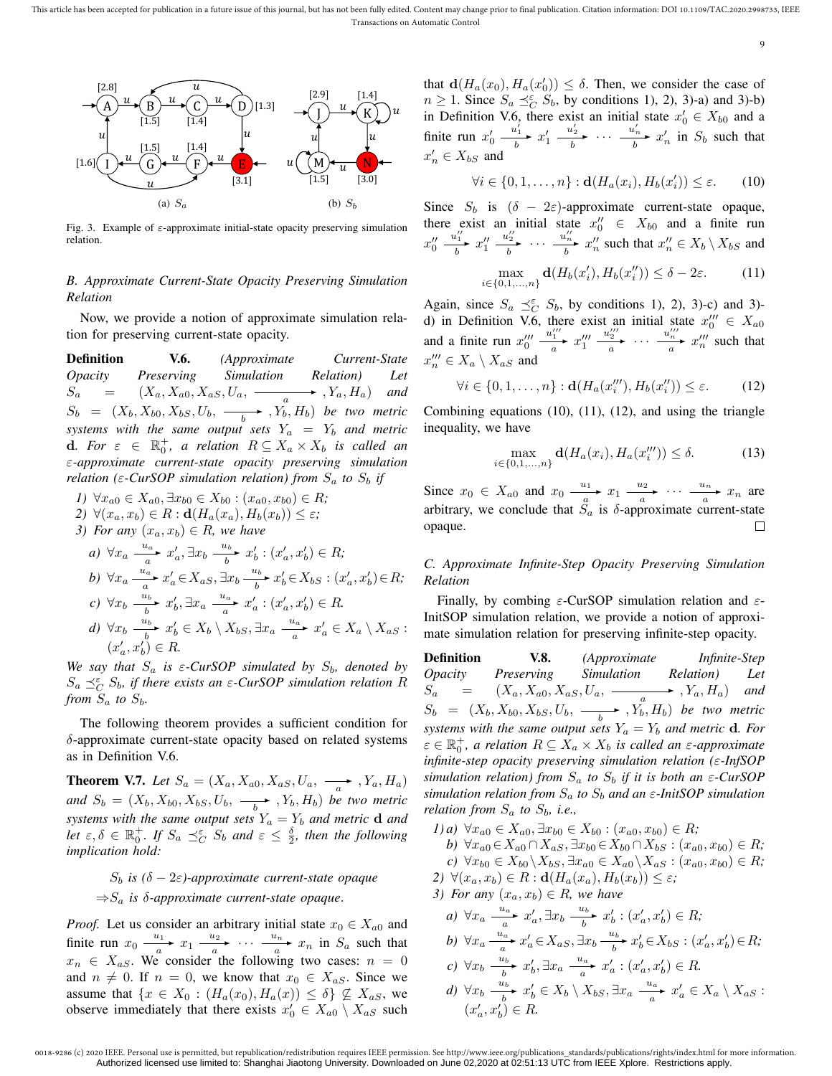

Fig. 3. Example of  $\varepsilon$ -approximate initial-state opacity preserving simulation relation.

## *B. Approximate Current-State Opacity Preserving Simulation Relation*

de a notion of approximate simula From, we provide a holion of approxi-Now, we provide a notion of approximate simulation rela-

**Definition V.6.** *(Approximate Current-State*  $S_b = (X_b, X_{b0}, X_{bS}, U_b, \longrightarrow, Y_b^a, H_b)$  *be two metric*  $s$ ystems with the same output sets  $Y_a = Y_b$  and metric reserving Sim *Opacity Preserving Simulation Relation) Let*  $S_a$  =  $(X_a, X_{a0}, X_{aS}, U_a, \xrightarrow[a]{a} , Y_a, H_a)$  and d. For  $\varepsilon \in \mathbb{R}_0^+$ , a relation  $R \subseteq X_a \times X_b$  is called an ε*-approximate current-state opacity preserving simulation relation (ε-CurSOP simulation relation) from*  $S_a$  *to*  $S_b$  *if* 

- *1*) ∀ $x_{a0} \in X_{a0}$ , ∃ $x_{b0} \in X_{b0}$  :  $(x_{a0}, x_{b0}) \in R$ ;
- *2*)  $\forall (x_a, x_b) \in R : \mathbf{d}(H_a(x_a), H_b(x_b)) \leq \varepsilon;$
- *3) For any*  $(x_a, x_b) \in R$ *, we have a*)  $\forall x_a \frac{u_a}{a_a}$  $\frac{u_a}{a}$   $x'_a$ ,  $\exists x_b \frac{u_b}{b}$  $\frac{a_b}{b}$  **x**<sub>b</sub> :  $(x'_a, x'_b) \in R$ ; *b*)  $\forall x_a \frac{u_a}{a}$  $\frac{u_a}{a}$   $x'_a \in X_{aS}$ ,  $\exists x_b \frac{u_b}{b}$  $\frac{a_b}{b}$  **x**<sup>*t*</sup><sub>*b*</sub>  $\in$  *X<sub>bS</sub>* :  $(x'_a, x'_b) \in$  *R*; *c*) ∀ $x_b \frac{u_b}{h}$ b  $x'_b$ ,  $\exists x_a \frac{u_a}{a}$  $x'_{a}$  :  $(x'_{a}, x'_{b}) \in R$ . *d*)  $\forall x_b \frac{u_b}{h}$  $\frac{u_b}{b}$   $x'_b \in X_b \setminus X_{bS}, \exists x_a \frac{u_a}{a}$  $rac{u_a}{a}$   $x'_a \in X_a \setminus X_{aS}$ :  $(x'_a, x'_b) \in R$ .

*We say that*  $S_a$  *is*  $\varepsilon$ -*CurSOP simulated by*  $S_b$ *, denoted by*  $S_a \preceq_C^{\varepsilon} S_b$ , if there exists an  $\varepsilon$ -CurSOP simulation relation R *from*  $S_a$  *to*  $S_b$ *.* 

The following theorem provides a sufficient condition for δ-approximate current-state opacity based on related systems as in Definition V.6.

**Theorem V.7.** Let  $S_a = (X_a, X_{a0}, X_{aS}, U_a, \longrightarrow, Y_a, H_a)$ and  $S_b = (X_b, X_{b0}, X_{bS}, U_b, \frac{1}{b}$ ,  $Y_b, H_b)$  *be two metric systems with the same output sets*  $Y_a = Y_b$  *and metric* **d** *and* Let  $\varepsilon, \delta \in \mathbb{R}_0^+$ . If  $S_a \preceq_C^{\varepsilon} S_b$  and  $\varepsilon \leq \frac{\delta}{2}$ , then the following *implication hold:*

S<sup>b</sup> *is (*δ − 2ε*)-approximate current-state opaque* ⇒S<sup>a</sup> *is* δ*-approximate current-state opaque*.

*Proof.* Let us consider an arbitrary initial state  $x_0 \in X_{a0}$  and finite run  $x_0 - \frac{u_1}{a_1}$  $rac{u_1}{a}$   $x_1 \frac{u_2}{a}$  $rac{u_2}{a}$   $\cdots$   $rac{u_n}{a}$  $rac{u_n}{a}$  x<sub>n</sub> in  $S_a$  such that  $x_n \in X_{aS}$ . We consider the following two cases:  $n = 0$ and  $n \neq 0$ . If  $n = 0$ , we know that  $x_0 \in X_{aS}$ . Since we assume that  $\{x \in X_0 : (H_a(x_0), H_a(x)) \leq \delta\} \nsubseteq X_{aS}$ , we observe immediately that there exists  $x'_0 \in X_{a0} \setminus X_{aS}$  such

 $n \ge 1$ . Since  $S_a \preceq_{C}^{\varepsilon} S_b$ , by conditions 1), 2), 3)-a) and 3)-b)  $x'_n \in X_{bS}$  and that  $\mathbf{d}(H_a(x_0), H_a(x_0')) \leq \delta$ . Then, we consider the case of finite run  $x'_0$ in Definition V.6, there exist an initial state  $x'_0 \in X_{b0}$  and a  $u_1^{\prime}$  $\frac{u'_1}{b}$   $x'_1$  $u_2'$  $rac{u'_2}{b}$   $\cdots$   $rac{u'_n}{b}$  $\frac{u'_n}{b}$   $\star$  x'<sub>n</sub> in  $S_b$  such that

$$
\forall i \in \{0, 1, \dots, n\} : \mathbf{d}(H_a(x_i), H_b(x'_i)) \le \varepsilon. \tag{10}
$$

Since  $S_b$  is  $(\delta - 2\varepsilon)$ -approximate current-state opaque, there exist an initial state  $x_0'' \in X_{b0}$  and a finite run  $x_0''$  $u_1^{\prime\prime}$  $\frac{u_1^{\prime\prime}}{b}$   $x_1^{\prime\prime}$  $u_2^{\prime\prime}$  $\frac{u''_2}{b}$   $\cdots$   $\frac{u''_n}{b}$  $\frac{u''_n}{b}$  +  $x''_n$  such that  $x''_n \in X_b \setminus X_{bS}$  and  $\max_{i \in \{0, 1, ..., n\}} \mathbf{d}(H_b(x'_i), H_b(x''_i)) \le \delta - 2\varepsilon.$  (11)

Again, since  $S_a \preceq_C^{\varepsilon} S_b$ , by conditions 1), 2), 3)-c) and 3)d) in Definition V.6, there exist an initial state  $x_0^{\prime\prime\prime} \in X_{a0}$ and a finite run  $x_0^{\prime\prime\prime}$  $u_1'''$  $\frac{y_1^{\prime\prime\prime}}{a}$   $x_1^{\prime\prime\prime}$  $u_2'''$  $rac{u''_n}{a}$   $\cdots$   $rac{u''_n}{a}$  $\frac{y_n^{\prime\prime\prime}}{a}$   $x_n^{\prime\prime\prime}$  such that  $x_n''' \in X_a \setminus X_{aS}$  and

$$
\forall i \in \{0, 1, \dots, n\} : \mathbf{d}(H_a(x_i^{\prime\prime\prime}), H_b(x_i^{\prime\prime})) \le \varepsilon. \tag{12}
$$

Combining equations (10), (11), (12), and using the triangle inequality, we have

$$
\max_{i \in \{0, 1, \dots, n\}} \mathbf{d}(H_a(x_i), H_a(x_i''')) \le \delta. \tag{13}
$$

Since  $x_0 \in X_{a0}$  and  $x_0 \frac{u_1}{u_2}$  $rac{u_1}{a}$   $x_1$   $rac{u_2}{a}$  $\frac{u_2}{a}$   $\cdots$   $\frac{u_n}{a}$  $rac{u_n}{a}$  x<sub>n</sub> are arbitrary, we conclude that  $S_a$  is  $\delta$ -approximate current-state opaque.  $\Box$ 

*C. Approximate Infinite-Step Opacity Preserving Simulation Relation*

Finally, by combing  $\varepsilon$ -CurSOP simulation relation and  $\varepsilon$ -InitSOP simulation relation, we provide a notion of approximate simulation relation for preserving infinite-step opacity.

Definition V.8. *(Approximate Infinite-Step Opacity Preserving Simulation Relation) Let*  $S_a$  =  $(X_a, X_{a0}, X_{aS}, U_a, \xrightarrow[a]{a} , Y_a, H_a)$  and  $S_b = (X_b, X_{b0}, X_{bS}, U_b, \longrightarrow, Y_b^a, H_b)$  *be two metric systems with the same output sets*  $Y_a = Y_b$  *and metric* **d**. For  $\varepsilon \in \mathbb{R}_0^+$ , a relation  $R \subseteq X_a \times X_b$  is called an  $\varepsilon$ -approximate *infinite-step opacity preserving simulation relation (*ε*-InfSOP simulation relation) from*  $S_a$  *to*  $S_b$  *if it is both an*  $\varepsilon$ -*CurSOP simulation relation from*  $S_a$  *to*  $S_b$  *and an*  $\varepsilon$ -*InitSOP simulation relation from*  $S_a$  *to*  $S_b$ *, i.e.,* 

*1) a)* ∀ $x_{a0} \in X_{a0}$ , ∃ $x_{b0} \in X_{b0}$  :  $(x_{a0}, x_{b0}) \in R$ ; *b*)  $\forall x_{a0} \in X_{a0} \cap X_{aS}, \exists x_{b0} \in X_{b0} \cap X_{bS} : (x_{a0}, x_{b0}) \in R;$ *c*) ∀ $x_{b0} \in X_{b0} \setminus X_{bS}$ ,  $\exists x_{a0} \in X_{a0} \setminus X_{aS}$  :  $(x_{a0}, x_{b0}) \in R$ ; 2)  $\forall (x_a, x_b) \in R : \mathbf{d}(H_a(x_a), H_b(x_b)) \leq \varepsilon$ ; *3) For any*  $(x_a, x_b) \in R$ *, we have a*)  $\forall x_a \frac{u_a}{a}$  $\frac{u_a}{a}$   $x'_a$ ,  $\exists x_b \frac{u_b}{b}$  $\frac{a_b}{b}$  **x**<sub>b</sub> :  $(x'_a, x'_b) \in R$ ; *b*)  $\forall x_a \frac{u_a}{a}$  $\frac{u_a}{a}$   $x'_a \in X_{aS}$ ,  $\exists x_b \frac{u_b}{b}$  $\frac{a_b}{b}$  **x**<sup>1</sup><sub>b</sub>  $\in$   $X_{bS}$  :  $(x'_a, x'_b) \in R$ ; *c*) ∀ $x_b \frac{u_b}{h}$  $\frac{u_b}{b}$   $x'_b$ ,  $\exists x_a \frac{u_a}{a}$  $\frac{a}{a}$   $x'_{a}$  :  $(x'_{a}, x'_{b}) \in R$ . *d*)  $\forall x_b \frac{u_b}{h}$  $\frac{u_b}{b}$   $x'_b \in X_b \setminus X_{bS}, \exists x_a \frac{u_a}{a}$  $rac{u_a}{a}$   $x'_a \in X_a \setminus X_{aS}$ :  $(x'_a, x'_b) \in R$ .

<sup>0018-9286 (</sup>c) 2020 IEEE. Personal use is permitted, but republication/redistribution requires IEEE permission. See http://www.ieee.org/publications\_standards/publications/rights/index.html for more information. Authorized licensed use limited to: Shanghai Jiaotong University. Downloaded on June 02,2020 at 02:51:13 UTC from IEEE Xplore. Restrictions apply.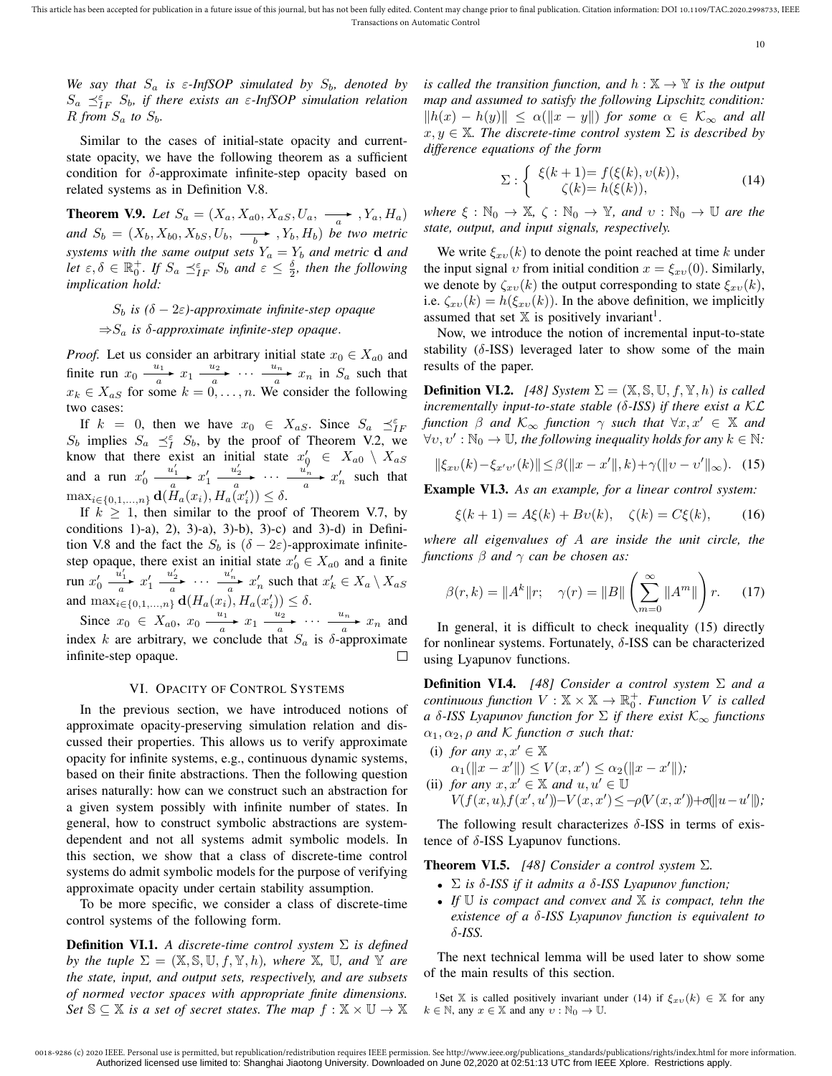*We say that*  $S_a$  *is*  $\varepsilon$ -*InfSOP simulated by*  $S_b$ *, denoted by*  $S_a \preceq_{IF}^{\varepsilon} S_b$ , if there exists an  $\varepsilon$ -InfSOP simulation relation  $R$  *from*  $S_a$  *to*  $S_b$ .

Similar to the cases of initial-state opacity and currentstate opacity, we have the following theorem as a sufficient condition for  $\delta$ -approximate infinite-step opacity based on related systems as in Definition V.8.

**Theorem V.9.** Let  $S_a = (X_a, X_{a0}, X_{aS}, U_a, \longrightarrow, Y_a, H_a)$ and  $S_b = (X_b, X_{b0}, X_{bS}, U_b, \longrightarrow, Y_b, H_b)$  *be two metric systems with the same output sets*  $Y_a = Y_b$  *and metric* **d** *and* Let  $\varepsilon, \delta \in \mathbb{R}_0^+$ . If  $S_a \preceq_{IF}^{\varepsilon} S_b$  and  $\varepsilon \leq \frac{\delta}{2}$ , then the following *implication hold:*

S<sup>b</sup> *is (*δ − 2ε*)-approximate infinite-step opaque* ⇒S<sup>a</sup> *is* δ*-approximate infinite-step opaque*.

*Proof.* Let us consider an arbitrary initial state  $x_0 \in X_{a0}$  and finite run  $x_0 \frac{u_1}{u_2}$  $rac{u_1}{a}$   $x_1 \frac{u_2}{a}$  $rac{u_2}{a}$   $\cdots$   $rac{u_n}{a}$  $rac{u_n}{a}$  x<sub>n</sub> in  $S_a$  such that  $x_k \in X_{aS}$  for some  $k = 0, \ldots, n$ . We consider the following two cases:

If  $k = 0$ , then we have  $x_0 \in X_{aS}$ . Since  $S_a \preceq_{IF}^{\varepsilon}$  $S_b$  implies  $S_a \preceq^{\varepsilon}_I S_b$ , by the proof of Theorem V.2, we know that there exist an initial state  $x'_0 \in X_{a0} \setminus X_{aS}$ and a run  $x'_0$  $u_1'$  $\frac{u'_1}{a}$   $\rightarrow$   $x'_1$  $u_2'$  $\frac{u'_2}{a}$   $\cdots$   $\frac{u'_n}{a}$  $rac{u'_n}{a}$   $\rightarrow$   $x'_n$  such that  $\max_{i \in \{0,1,...,n\}} \mathbf{d}(H_a(x_i), H_a(x_i')) \le \delta.$ 

If  $k \geq 1$ , then similar to the proof of Theorem V.7, by conditions 1)-a), 2), 3)-a), 3)-b), 3)-c) and 3)-d) in Definition V.8 and the fact the  $S_b$  is  $(\delta - 2\varepsilon)$ -approximate infinitestep opaque, there exist an initial state  $x'_0 \in X_{a0}$  and a finite run  $x'_0$  $\overline{u}'_1$  $\frac{u'_1}{a}$   $x'_1$  $u_2'$  $\frac{u'_2}{a}$   $\cdots$   $\frac{u'_n}{a}$  $\frac{u'_n}{a}$   $x'_n$  such that  $x'_k \in X_a \setminus X_{aS}$ and  $\max_{i \in \{0,1,...,n\}} \mathbf{d}(H_a(x_i), H_a(x_i')) \le \delta$ .

Since  $x_0 \in X_{a0}$ ,  $x_0 \frac{u_1}{u_0}$  $rac{u_1}{a}$   $x_1 - \frac{u_2}{a}$  $\frac{u_2}{a}$   $\cdots$   $\frac{u_n}{a}$  $rac{u_n}{a}$   $x_n$  and index k are arbitrary, we conclude that  $S_a$  is  $\delta$ -approximate infinite-step opaque.

## VI. OPACITY OF CONTROL SYSTEMS

In the previous section, we have introduced notions of approximate opacity-preserving simulation relation and discussed their properties. This allows us to verify approximate opacity for infinite systems, e.g., continuous dynamic systems, based on their finite abstractions. Then the following question arises naturally: how can we construct such an abstraction for a given system possibly with infinite number of states. In general, how to construct symbolic abstractions are systemdependent and not all systems admit symbolic models. In this section, we show that a class of discrete-time control systems do admit symbolic models for the purpose of verifying approximate opacity under certain stability assumption.

To be more specific, we consider a class of discrete-time control systems of the following form.

Definition VI.1. *A discrete-time control system* Σ *is defined by the tuple*  $\Sigma = (\mathbb{X}, \mathbb{S}, \mathbb{U}, f, \mathbb{Y}, h)$ *, where*  $\mathbb{X}, \mathbb{U}$ *, and*  $\mathbb{Y}$  *are the state, input, and output sets, respectively, and are subsets of normed vector spaces with appropriate finite dimensions. Set*  $\mathbb{S} \subseteq \mathbb{X}$  *is a set of secret states. The map*  $f : \mathbb{X} \times \mathbb{U} \rightarrow \mathbb{X}$  *is called the transition function, and*  $h : \mathbb{X} \to \mathbb{Y}$  *is the output map and assumed to satisfy the following Lipschitz condition:*  $\|h(x) - h(y)\| \leq \alpha(\|x - y\|)$  *for some*  $\alpha \in \mathcal{K}_{\infty}$  *and all*  $x, y \in \mathbb{X}$ . The discrete-time control system  $\Sigma$  is described by *difference equations of the form*

$$
\Sigma: \left\{ \begin{array}{l} \xi(k+1) = f(\xi(k), \upsilon(k)), \\ \zeta(k) = h(\xi(k)), \end{array} \right. \tag{14}
$$

*where*  $\xi : \mathbb{N}_0 \to \mathbb{X}, \ \zeta : \mathbb{N}_0 \to \mathbb{Y}, \text{ and } \upsilon : \mathbb{N}_0 \to \mathbb{U}$  *are the state, output, and input signals, respectively.*

We write  $\xi_{xv}(k)$  to denote the point reached at time k under the input signal v from initial condition  $x = \xi_{xv}(0)$ . Similarly, we denote by  $\zeta_{xv}(k)$  the output corresponding to state  $\xi_{xv}(k)$ , i.e.  $\zeta_{xv}(k) = h(\xi_{xv}(k))$ . In the above definition, we implicitly assumed that set  $X$  is positively invariant<sup>1</sup>.

Now, we introduce the notion of incremental input-to-state stability  $(δ$ -ISS) leveraged later to show some of the main results of the paper.

**Definition VI.2.** *[48] System*  $\Sigma = (\mathbb{X}, \mathbb{S}, \mathbb{U}, f, \mathbb{Y}, h)$  *is called incrementally input-to-state stable (*δ*-ISS) if there exist a* KL *function*  $\beta$  *and*  $\mathcal{K}_{\infty}$  *function*  $\gamma$  *such that*  $\forall x, x' \in \mathbb{X}$  *and*  $\forall v, v' : \mathbb{N}_0 \to \mathbb{U}$ , the following inequality holds for any  $k \in \mathbb{N}$ :

$$
\|\xi_{xv}(k) - \xi_{x'v'}(k)\| \le \beta(\|x - x'\|, k) + \gamma(\|v - v'\|_{\infty}). \tag{15}
$$

Example VI.3. *As an example, for a linear control system:*

$$
\xi(k+1) = A\xi(k) + Bv(k), \quad \zeta(k) = C\xi(k),
$$
 (16)

*where all eigenvalues of* A *are inside the unit circle, the functions* β *and* γ *can be chosen as:*

$$
\beta(r,k) = \|A^k\|r; \quad \gamma(r) = \|B\| \left(\sum_{m=0}^{\infty} \|A^m\|\right) r. \tag{17}
$$

In general, it is difficult to check inequality (15) directly for nonlinear systems. Fortunately,  $\delta$ -ISS can be characterized using Lyapunov functions.

Definition VI.4. *[48] Consider a control system* Σ *and a continuous function*  $V : \mathbb{X} \times \mathbb{X} \to \mathbb{R}^+_0$ *. Function* V *is called a*  $\delta$ -*ISS Lyapunov function for*  $\Sigma$  *if there exist*  $\mathcal{K}_{\infty}$  *functions*  $\alpha_1, \alpha_2, \rho$  *and* K *function*  $\sigma$  *such that:* 

(i) *for any*  $x, x' \in \mathbb{X}$  $\alpha_1(\|x-x'\|) \le V(x,x') \le \alpha_2(\|x-x'\|);$ (ii) *for any*  $x, x' \in \mathbb{X}$  *and*  $u, u' \in \mathbb{U}$  $V(f(x, u), f(x', u')) - V(x, x') \le -\rho(V(x, x')) + \sigma ||u - u'||;$ 

The following result characterizes  $\delta$ -ISS in terms of existence of  $\delta$ -ISS Lyapunov functions.

Theorem VI.5. *[48] Consider a control system* Σ*.*

- Σ *is* δ*-ISS if it admits a* δ*-ISS Lyapunov function;*
- *If* U *is compact and convex and* X *is compact, tehn the existence of a* δ*-ISS Lyapunov function is equivalent to* δ*-ISS.*

The next technical lemma will be used later to show some of the main results of this section.

<sup>1</sup>Set X is called positively invariant under (14) if  $\xi_{xv}(k) \in X$  for any  $k \in \mathbb{N}$ , any  $x \in \mathbb{X}$  and any  $v : \mathbb{N}_0 \to \mathbb{U}$ .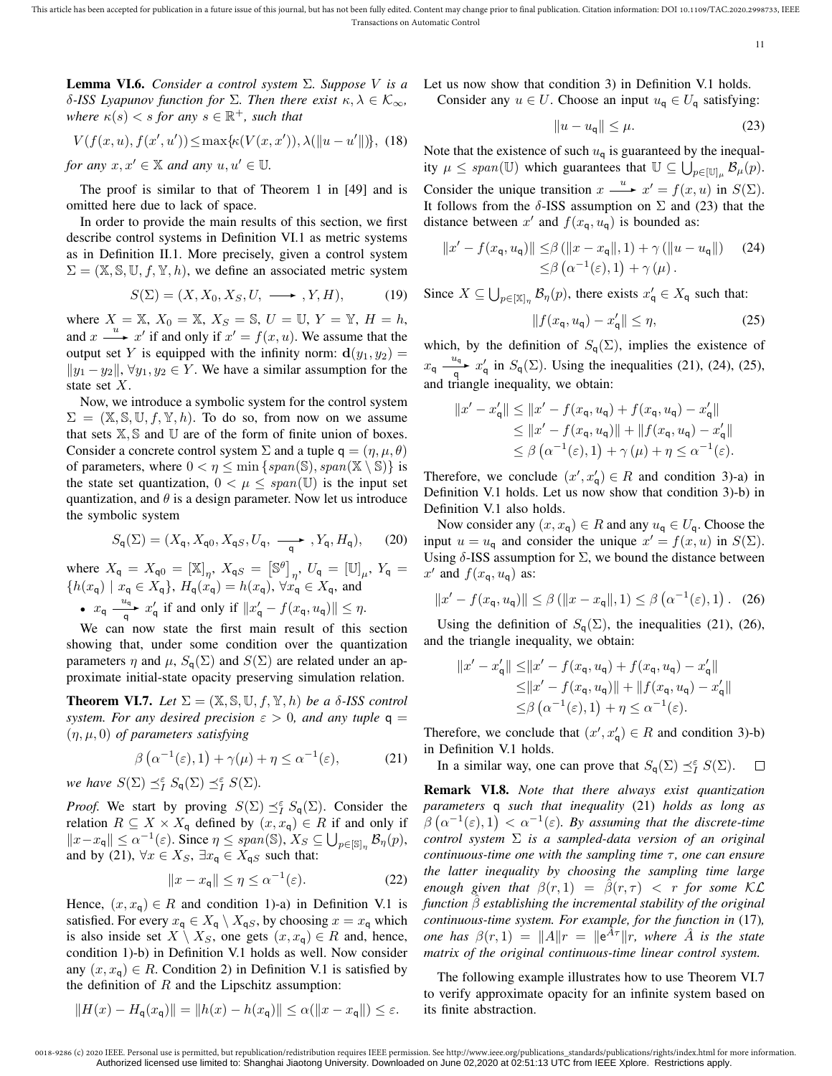Lemma VI.6. *Consider a control system* Σ*. Suppose* V *is a* δ*-ISS Lyapunov function for* Σ*. Then there exist* κ, λ ∈ K∞*,* where  $\kappa(s) < s$  for any  $s \in \mathbb{R}^+$ , such that

$$
V(f(x, u), f(x', u')) \le \max\{\kappa(V(x, x')), \lambda(\|u - u'\|)\}, \tag{18}
$$

*for any*  $x, x' \in \mathbb{X}$  *and any*  $u, u' \in \mathbb{U}$ .

The proof is similar to that of Theorem 1 in [49] and is omitted here due to lack of space.

In order to provide the main results of this section, we first describe control systems in Definition VI.1 as metric systems as in Definition II.1. More precisely, given a control system  $\Sigma = (\mathbb{X}, \mathbb{S}, \mathbb{U}, f, \mathbb{Y}, h)$ , we define an associated metric system

$$
S(\Sigma) = (X, X_0, X_S, U, \longrightarrow, Y, H), \tag{19}
$$

where  $X = \mathbb{X}, X_0 = \mathbb{X}, X_S = \mathbb{S}, U = \mathbb{U}, Y = \mathbb{Y}, H = h$ , and  $x \xrightarrow{u} x'$  if and only if  $x' = f(x, u)$ . We assume that the output set Y is equipped with the infinity norm:  $d(y_1, y_2) =$  $||y_1 - y_2||$ ,  $\forall y_1, y_2 \in Y$ . We have a similar assumption for the state set X.

Now, we introduce a symbolic system for the control system  $\Sigma = (\mathbb{X}, \mathbb{S}, \mathbb{U}, f, \mathbb{Y}, h)$ . To do so, from now on we assume that sets  $X, S$  and  $U$  are of the form of finite union of boxes. Consider a concrete control system  $\Sigma$  and a tuple  $q = (n, \mu, \theta)$ of parameters, where  $0 < \eta \le \min \{span(\mathbb{S}), span(\mathbb{X} \setminus \mathbb{S})\}$  is the state set quantization,  $0 < \mu \leq span(\mathbb{U})$  is the input set quantization, and  $\theta$  is a design parameter. Now let us introduce the symbolic system

$$
S_{\mathsf{q}}(\Sigma) = (X_{\mathsf{q}}, X_{\mathsf{q}0}, X_{\mathsf{q}S}, U_{\mathsf{q}}, \xrightarrow{\mathsf{q}} Y_{\mathsf{q}}, H_{\mathsf{q}}), \qquad (20)
$$

where  $X_{\mathsf{q}} = X_{\mathsf{q}0} = [\mathbb{X}]_{\eta}$ ,  $X_{\mathsf{q}S} = [\mathbb{S}^{\theta}]_{\eta}$ ,  $U_{\mathsf{q}} = [\mathbb{U}]_{\mu}$ ,  $Y_{\mathsf{q}} =$  ${h(x_\mathsf{q}) | x_\mathsf{q} \in X_\mathsf{q}}$ ,  $H_\mathsf{q}(x_\mathsf{q}) = h(x_\mathsf{q}), \forall x_\mathsf{q}' \in X_\mathsf{q}$ , and •  $x_q \frac{u_q}{\cdot}$  $\frac{u_q}{q}$   $x'_q$  if and only if  $||x'_q - f(x_q, u_q)|| \leq \eta$ .

We can now state the first main result of this section showing that, under some condition over the quantization parameters  $\eta$  and  $\mu$ ,  $S_q(\Sigma)$  and  $S(\Sigma)$  are related under an approximate initial-state opacity preserving simulation relation.

**Theorem VI.7.** *Let*  $\Sigma = (\mathbb{X}, \mathbb{S}, \mathbb{U}, f, \mathbb{Y}, h)$  *be a*  $\delta$ -*ISS control system. For any desired precision*  $\varepsilon > 0$ *, and any tuple*  $q =$ (η, µ, 0) *of parameters satisfying*

$$
\beta\left(\alpha^{-1}(\varepsilon),1\right) + \gamma(\mu) + \eta \le \alpha^{-1}(\varepsilon),\tag{21}
$$

*we have*  $S(\Sigma) \preceq_I^{\varepsilon} S_{\mathsf{q}}(\Sigma) \preceq_I^{\varepsilon} S(\Sigma)$ .

*Proof.* We start by proving  $S(\Sigma) \preceq_I^{\varepsilon} S_q(\Sigma)$ . Consider the relation  $R \subseteq X \times X_q$  defined by  $(x, x_q) \in R$  if and only if  $||x-x_{\mathsf{q}}|| \le \alpha^{-1}(\varepsilon)$ . Since  $\eta \le span(\mathbb{S})$ ,  $X_S \subseteq \bigcup_{p \in [\mathbb{S}]_\eta} \mathcal{B}_{\eta}(p)$ , and by (21),  $\forall x \in X_S$ ,  $\exists x_{\mathsf{q}} \in X_{\mathsf{q}S}$  such that:

$$
||x - x_{\mathsf{q}}|| \le \eta \le \alpha^{-1}(\varepsilon). \tag{22}
$$

Hence,  $(x, x_q) \in R$  and condition 1)-a) in Definition V.1 is satisfied. For every  $x_q \in X_q \setminus X_{qS}$ , by choosing  $x = x_q$  which is also inside set  $X \setminus X_S$ , one gets  $(x, x_q) \in R$  and, hence, condition 1)-b) in Definition V.1 holds as well. Now consider any  $(x, x_q) \in R$ . Condition 2) in Definition V.1 is satisfied by the definition of  $R$  and the Lipschitz assumption:

$$
\|H(x)-H_{\mathsf{q}}(x_{\mathsf{q}})\|=\|h(x)-h(x_{\mathsf{q}})\|\leq \alpha(\|x-x_{\mathsf{q}}\|)\leq \varepsilon.
$$

Let us now show that condition 3) in Definition V.1 holds. Consider any  $u \in U$ . Choose an input  $u_q \in U_q$  satisfying:

$$
||u - u_{\mathsf{q}}|| \le \mu. \tag{23}
$$

Note that the existence of such  $u_q$  is guaranteed by the inequality  $\mu \leq span(\mathbb{U})$  which guarantees that  $\mathbb{U} \subseteq \bigcup_{p \in [\mathbb{U}]_{\mu}} \mathcal{B}_{\mu}(p)$ . Consider the unique transition  $x \xrightarrow{u} x' = f(x, u)$  in  $S(\Sigma)$ . It follows from the  $\delta$ -ISS assumption on  $\Sigma$  and (23) that the distance between  $x'$  and  $f(x_q, u_q)$  is bounded as:

$$
||x' - f(x_{\mathsf{q}}, u_{\mathsf{q}})|| \le \beta (||x - x_{\mathsf{q}}||, 1) + \gamma (||u - u_{\mathsf{q}}||) \quad (24)
$$
  

$$
\le \beta (\alpha^{-1}(\varepsilon), 1) + \gamma (\mu).
$$

Since  $X \subseteq \bigcup_{p \in [\mathbb{X}]_{\eta}} \mathcal{B}_{\eta}(p)$ , there exists  $x'_{\mathsf{q}} \in X_{\mathsf{q}}$  such that:

$$
||f(x_{\mathsf{q}}, u_{\mathsf{q}}) - x_{\mathsf{q}}'|| \le \eta,\tag{25}
$$

which, by the definition of  $S_q(\Sigma)$ , implies the existence of  $x_{\mathsf{q}} \frac{u_{\mathsf{q}}}{a}$  $\frac{u_q}{q}$  x'<sub>q</sub> in S<sub>q</sub>(Σ). Using the inequalities (21), (24), (25), and triangle inequality, we obtain:

$$
||x' - x'_\mathbf{q}|| \le ||x' - f(x_\mathbf{q}, u_\mathbf{q}) + f(x_\mathbf{q}, u_\mathbf{q}) - x'_\mathbf{q}||
$$
  
\n
$$
\le ||x' - f(x_\mathbf{q}, u_\mathbf{q})|| + ||f(x_\mathbf{q}, u_\mathbf{q}) - x'_\mathbf{q}||
$$
  
\n
$$
\le \beta (\alpha^{-1}(\varepsilon), 1) + \gamma (\mu) + \eta \le \alpha^{-1}(\varepsilon).
$$

Therefore, we conclude  $(x', x'_{\mathsf{q}}) \in R$  and condition 3)-a) in Definition V.1 holds. Let us now show that condition 3)-b) in Definition V.1 also holds.

Now consider any  $(x, x_q) \in R$  and any  $u_q \in U_q$ . Choose the input  $u = u_{\mathsf{q}}$  and consider the unique  $x' = f(x, u)$  in  $S(\Sigma)$ . Using  $\delta$ -ISS assumption for  $\Sigma$ , we bound the distance between  $x'$  and  $f(x_q, u_q)$  as:

$$
||x' - f(x_q, u_q)|| \le \beta (||x - x_q||, 1) \le \beta (\alpha^{-1}(\varepsilon), 1).
$$
 (26)

Using the definition of  $S_q(\Sigma)$ , the inequalities (21), (26), and the triangle inequality, we obtain:

$$
||x' - x'_q|| \le ||x' - f(x_q, u_q) + f(x_q, u_q) - x'_q||
$$
  
\n
$$
\le ||x' - f(x_q, u_q)|| + ||f(x_q, u_q) - x'_q||
$$
  
\n
$$
\le \beta (\alpha^{-1}(\varepsilon), 1) + \eta \le \alpha^{-1}(\varepsilon).
$$

Therefore, we conclude that  $(x', x'_{\mathsf{q}}) \in R$  and condition 3)-b) in Definition V.1 holds.

In a similar way, one can prove that  $S_q(\Sigma) \preceq^{\varepsilon}_I S(\Sigma)$ .  $\Box$ 

Remark VI.8. *Note that there always exist quantization parameters* q *such that inequality* (21) *holds as long as*  $\beta\left(\alpha^{-1}(\varepsilon),1\right)<\alpha^{-1}(\varepsilon)$ . By assuming that the discrete-time *control system* Σ *is a sampled-data version of an original continuous-time one with the sampling time* τ, *one can ensure the latter inequality by choosing the sampling time large enough given that*  $\beta(r,1) = \beta(r,\tau) < r$  *for some* KL *function* βˆ *establishing the incremental stability of the original continuous-time system. For example, for the function in* (17)*, one has*  $\beta(r,1) = ||A||r = ||e^{\hat{A}\tau}||r$ , where  $\hat{A}$  is the state *matrix of the original continuous-time linear control system.*

The following example illustrates how to use Theorem VI.7 to verify approximate opacity for an infinite system based on its finite abstraction.

<sup>0018-9286 (</sup>c) 2020 IEEE. Personal use is permitted, but republication/redistribution requires IEEE permission. See http://www.ieee.org/publications\_standards/publications/rights/index.html for more information. Authorized licensed use limited to: Shanghai Jiaotong University. Downloaded on June 02,2020 at 02:51:13 UTC from IEEE Xplore. Restrictions apply.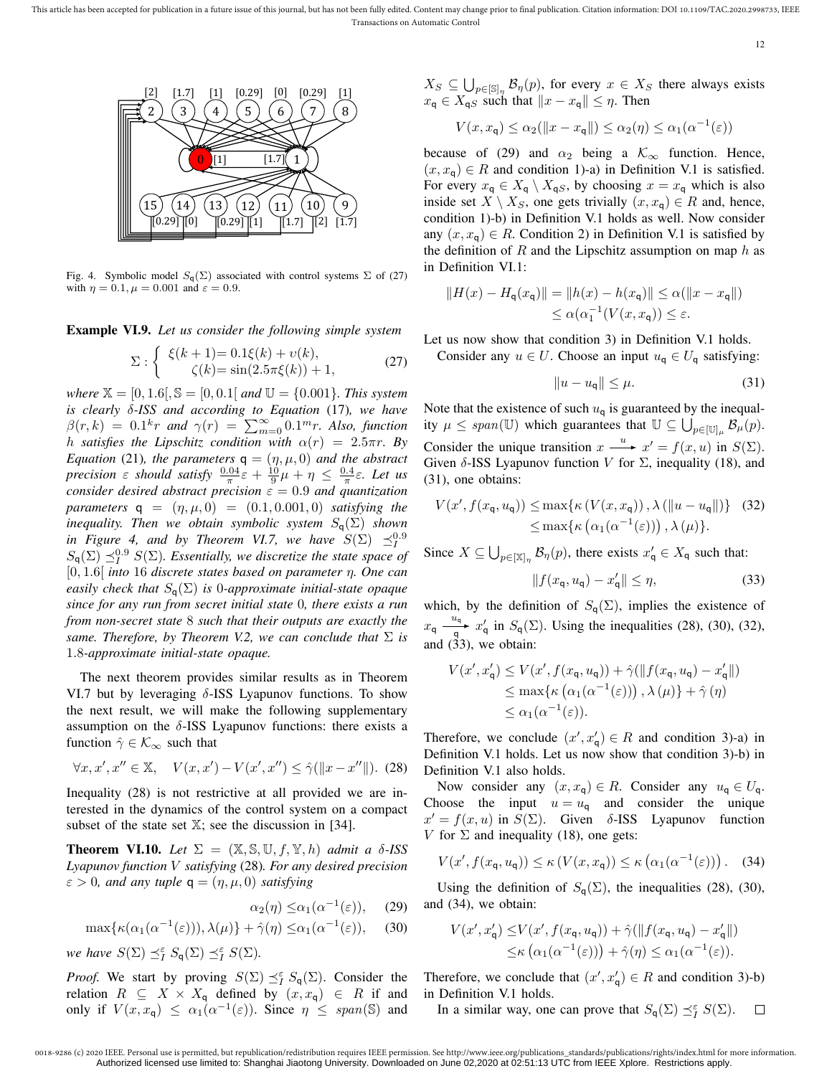

Fig. 4. Symbolic model  $S_q(\Sigma)$  associated with control systems  $\Sigma$  of (27) with  $\eta = 0.1$ ,  $\mu = 0.001$  and  $\varepsilon = 0.9$ .

Example VI.9. *Let us consider the following simple system*

$$
\Sigma: \left\{ \begin{array}{l} \xi(k+1) = 0.1\xi(k) + \upsilon(k), \\ \zeta(k) = \sin(2.5\pi\xi(k)) + 1, \end{array} \right. \tag{27}
$$

*where*  $X = [0, 1.6], S = [0, 0.1]$  *and*  $U = \{0.001\}$ *. This system is clearly* δ*-ISS and according to Equation* (17)*, we have*  $\beta(r, k) = 0.1^k r$  and  $\gamma(r) = \sum_{m=0}^{\infty} 0.1^m r$ . Also, function h *satisfies the Lipschitz condition with*  $\alpha(r) = 2.5\pi r$ . By *Equation* (21)*, the parameters*  $q = (\eta, \mu, 0)$  *and the abstract precision*  $\varepsilon$  *should satisfy*  $\frac{0.04}{\pi}\varepsilon + \frac{10}{9}\mu + \eta \leq \frac{0.4}{\pi}\varepsilon$ . Let us *consider desired abstract precision*  $\varepsilon = 0.9$  *and quantization parameters*  $q = (\eta, \mu, 0) = (0.1, 0.001, 0)$  *satisfying the inequality. Then we obtain symbolic system*  $S_q(\Sigma)$  *shown in Figure 4, and by Theorem VI.7, we have*  $S(\Sigma) \preceq_I^{0.9}$  $S_{\mathsf{q}}(\Sigma) \preceq_I^{0.9} S(\Sigma)$ . Essentially, we discretize the state space of [0, 1.6[ *into* 16 *discrete states based on parameter* η*. One can easily check that*  $S_q(\Sigma)$  *is* 0*-approximate initial-state opaque since for any run from secret initial state* 0*, there exists a run from non-secret state* 8 *such that their outputs are exactly the same. Therefore, by Theorem V.2, we can conclude that*  $\Sigma$  *is* 1.8*-approximate initial-state opaque.*

The next theorem provides similar results as in Theorem VI.7 but by leveraging  $\delta$ -ISS Lyapunov functions. To show the next result, we will make the following supplementary assumption on the  $\delta$ -ISS Lyapunov functions: there exists a function  $\hat{\gamma} \in \mathcal{K}_{\infty}$  such that

$$
\forall x, x', x'' \in \mathbb{X}, \quad V(x, x') - V(x', x'') \le \hat{\gamma}(\|x - x''\|). \tag{28}
$$

Inequality (28) is not restrictive at all provided we are interested in the dynamics of the control system on a compact subset of the state set X; see the discussion in [34].

**Theorem VI.10.** *Let*  $\Sigma = (\mathbb{X}, \mathbb{S}, \mathbb{U}, f, \mathbb{Y}, h)$  *admit a*  $\delta$ -*ISS Lyapunov function* V *satisfying* (28)*. For any desired precision*  $\varepsilon > 0$ *, and any tuple*  $q = (\eta, \mu, 0)$  *satisfying* 

$$
\alpha_2(\eta) \le \alpha_1(\alpha^{-1}(\varepsilon)), \quad (29)
$$

$$
\max\{\kappa(\alpha_1(\alpha^{-1}(\varepsilon))), \lambda(\mu)\} + \hat{\gamma}(\eta) \le \alpha_1(\alpha^{-1}(\varepsilon)), \quad (30)
$$

*we have*  $S(\Sigma) \preceq^{\varepsilon}_I S_{\mathsf{q}}(\Sigma) \preceq^{\varepsilon}_I S(\Sigma)$ .

*Proof.* We start by proving  $S(\Sigma) \preceq_I^{\varepsilon} S_q(\Sigma)$ . Consider the relation  $R \subseteq X \times X_q$  defined by  $(x, x_q) \in R$  if and only if  $V(x, x_q) \leq \alpha_1(\alpha^{-1}(\varepsilon))$ . Since  $\eta \leq span(\mathbb{S})$  and

 $X_S \subseteq \bigcup_{p \in [S]_\eta} \mathcal{B}_\eta(p)$ , for every  $x \in X_S$  there always exists  $x_{\mathsf{q}} \in X_{\mathsf{q}S}$  such that  $||x - x_{\mathsf{q}}|| \leq \eta$ . Then

$$
V(x, x_{\mathsf{q}}) \le \alpha_2(||x - x_{\mathsf{q}}||) \le \alpha_2(\eta) \le \alpha_1(\alpha^{-1}(\varepsilon))
$$

because of (29) and  $\alpha_2$  being a  $\mathcal{K}_{\infty}$  function. Hence,  $(x, x_{q}) \in R$  and condition 1)-a) in Definition V.1 is satisfied. For every  $x_q \in X_q \setminus X_{qS}$ , by choosing  $x = x_q$  which is also inside set  $X \setminus X_S$ , one gets trivially  $(x, x_q) \in R$  and, hence, condition 1)-b) in Definition V.1 holds as well. Now consider any  $(x, x_{\mathsf{q}}) \in R$ . Condition 2) in Definition V.1 is satisfied by the definition of R and the Lipschitz assumption on map  $h$  as in Definition VI.1:

$$
||H(x) - H_{q}(x_{q})|| = ||h(x) - h(x_{q})|| \le \alpha(||x - x_{q}||)
$$
  

$$
\le \alpha(\alpha_{1}^{-1}(V(x, x_{q})) \le \varepsilon.
$$

Let us now show that condition 3) in Definition V.1 holds. Consider any  $u \in U$ . Choose an input  $u_q \in U_q$  satisfying:

$$
||u - u_{\mathsf{q}}|| \le \mu. \tag{31}
$$

Note that the existence of such  $u_q$  is guaranteed by the inequality  $\mu \leq span(\mathbb{U})$  which guarantees that  $\mathbb{U} \subseteq \bigcup_{p \in [\mathbb{U}]_{\mu}} \mathcal{B}_{\mu}(p)$ . Consider the unique transition  $x \xrightarrow{u} x' = f(x, u)$  in  $S(\Sigma)$ . Given  $\delta$ -ISS Lyapunov function V for  $\Sigma$ , inequality (18), and (31), one obtains:

$$
V(x', f(x_q, u_q)) \le \max\{\kappa(V(x, x_q)), \lambda(\|u - u_q\|)\} \quad (32)
$$
  

$$
\le \max\{\kappa(\alpha_1(\alpha^{-1}(\varepsilon))) , \lambda(\mu)\}.
$$

Since  $X \subseteq \bigcup_{p \in [\mathbb{X}]_{\eta}} \mathcal{B}_{\eta}(p)$ , there exists  $x'_{\mathsf{q}} \in X_{\mathsf{q}}$  such that:

$$
||f(x_{\mathsf{q}}, u_{\mathsf{q}}) - x_{\mathsf{q}}'|| \le \eta,\tag{33}
$$

which, by the definition of  $S_q(\Sigma)$ , implies the existence of  $x_{\mathsf{q}} \frac{u_{\mathsf{q}}}{\sigma}$  $\frac{u_q}{q}$  x'<sub>q</sub> in S<sub>q</sub>(Σ). Using the inequalities (28), (30), (32), and  $(\vec{3}3)$ , we obtain:

$$
V(x', x'_{\mathbf{q}}) \leq V(x', f(x_{\mathbf{q}}, u_{\mathbf{q}})) + \hat{\gamma}(\|f(x_{\mathbf{q}}, u_{\mathbf{q}}) - x'_{\mathbf{q}}\|)
$$
  
\n
$$
\leq \max\{\kappa(\alpha_1(\alpha^{-1}(\varepsilon))) , \lambda(\mu)\} + \hat{\gamma}(\eta)
$$
  
\n
$$
\leq \alpha_1(\alpha^{-1}(\varepsilon)).
$$

Therefore, we conclude  $(x', x'_{\mathsf{q}}) \in R$  and condition 3)-a) in Definition V.1 holds. Let us now show that condition 3)-b) in Definition V.1 also holds.

Now consider any  $(x, x_q) \in R$ . Consider any  $u_q \in U_q$ . Choose the input  $u = u_q$  and consider the unique  $x' = f(x, u)$  in  $S(\Sigma)$ . Given  $\delta$ -ISS Lyapunov function V for  $\Sigma$  and inequality (18), one gets:

$$
V(x', f(x_q, u_q)) \le \kappa \left( V(x, x_q) \right) \le \kappa \left( \alpha_1(\alpha^{-1}(\varepsilon)) \right). \tag{34}
$$

Using the definition of  $S_q(\Sigma)$ , the inequalities (28), (30), and (34), we obtain:

$$
V(x', x'_{\mathbf{q}}) \leq V(x', f(x_{\mathbf{q}}, u_{\mathbf{q}})) + \hat{\gamma}(\|f(x_{\mathbf{q}}, u_{\mathbf{q}}) - x'_{\mathbf{q}}\|)
$$
  
\$\leq \kappa (\alpha\_1(\alpha^{-1}(\varepsilon))) + \hat{\gamma}(\eta) \leq \alpha\_1(\alpha^{-1}(\varepsilon)).

Therefore, we conclude that  $(x', x'_q) \in R$  and condition 3)-b) in Definition V.1 holds.

In a similar way, one can prove that  $S_q(\Sigma) \preceq^{\varepsilon}_I S(\Sigma)$ .  $\Box$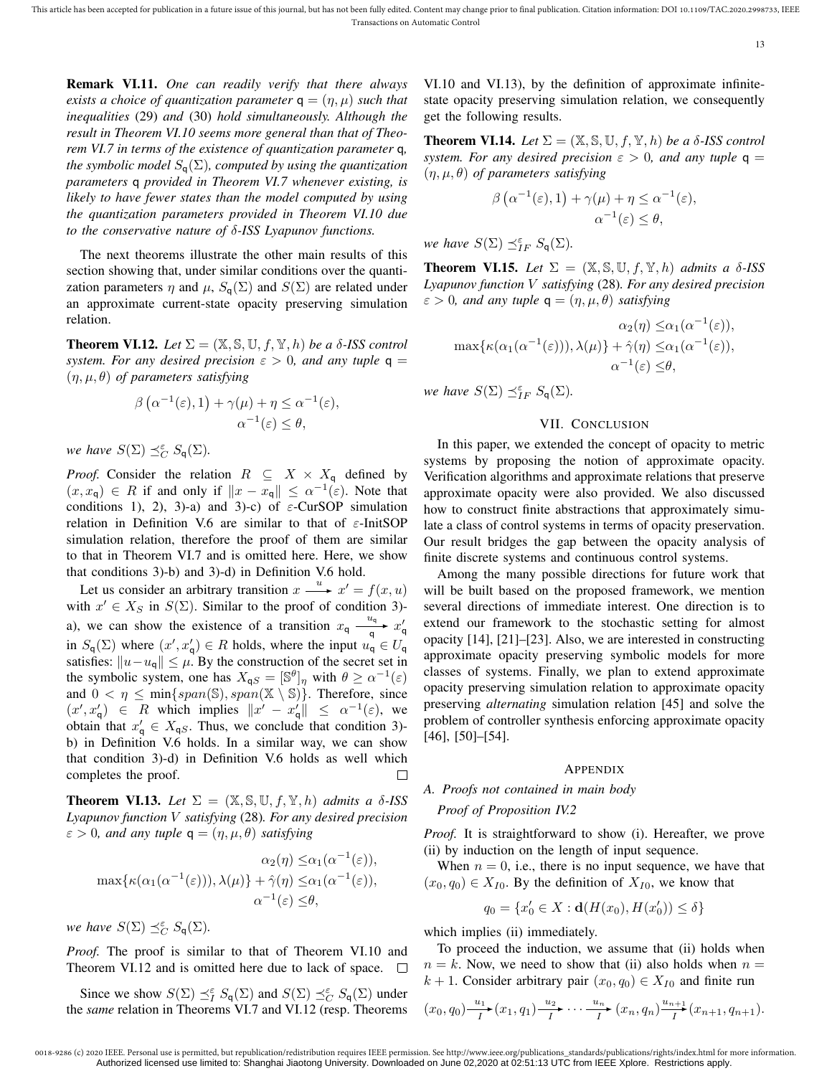Remark VI.11. *One can readily verify that there always exists a choice of quantization parameter*  $q = (n, \mu)$  *such that inequalities* (29) *and* (30) *hold simultaneously. Although the result in Theorem VI.10 seems more general than that of Theorem VI.7 in terms of the existence of quantization parameter* q*, the symbolic model*  $S_q(\Sigma)$ *, computed by using the quantization parameters* q *provided in Theorem VI.7 whenever existing, is likely to have fewer states than the model computed by using the quantization parameters provided in Theorem VI.10 due to the conservative nature of* δ*-ISS Lyapunov functions.*

The next theorems illustrate the other main results of this section showing that, under similar conditions over the quantization parameters  $\eta$  and  $\mu$ ,  $S_q(\Sigma)$  and  $S(\Sigma)$  are related under an approximate current-state opacity preserving simulation relation.

**Theorem VI.12.** *Let*  $\Sigma = (\mathbb{X}, \mathbb{S}, \mathbb{U}, f, \mathbb{Y}, h)$  *be a*  $\delta$ -*ISS control system. For any desired precision*  $\varepsilon > 0$ *, and any tuple*  $q =$ (η, µ, θ) *of parameters satisfying*

$$
\beta\left(\alpha^{-1}(\varepsilon),1\right) + \gamma(\mu) + \eta \leq \alpha^{-1}(\varepsilon),
$$
  

$$
\alpha^{-1}(\varepsilon) \leq \theta,
$$

*we have*  $S(\Sigma) \preceq_C^{\varepsilon} S_q(\Sigma)$ .

*Proof.* Consider the relation  $R \subseteq X \times X_q$  defined by  $(x, x_{\mathsf{q}}) \in R$  if and only if  $||x - x_{\mathsf{q}}|| \le \alpha^{-1}(\varepsilon)$ . Note that conditions 1), 2), 3)-a) and 3)-c) of  $\varepsilon$ -CurSOP simulation relation in Definition V.6 are similar to that of  $\varepsilon$ -InitSOP simulation relation, therefore the proof of them are similar to that in Theorem VI.7 and is omitted here. Here, we show that conditions 3)-b) and 3)-d) in Definition V.6 hold.

Let us consider an arbitrary transition  $x \xrightarrow{u} x' = f(x, u)$ with  $x' \in X_S$  in  $S(\Sigma)$ . Similar to the proof of condition 3)a), we can show the existence of a transition  $x_q = \frac{u_q}{a}$  $\frac{d}{q}$   $\rightarrow$   $x'_q$ in  $S_q(\Sigma)$  where  $(x', x'_q) \in R$  holds, where the input  $u_q \in U_q$ satisfies:  $||u-u_{\mathsf{q}}|| \leq \mu$ . By the construction of the secret set in the symbolic system, one has  $X_{\mathbf{q}S} = [\mathbb{S}^{\theta}]_{\eta}$  with  $\theta \ge \alpha^{-1}(\varepsilon)$ and  $0 < \eta \le \min\{\text{span}(\mathbb{S}), \text{span}(\mathbb{X} \setminus \mathbb{S})\}.$  Therefore, since  $(x', x'_\mathsf{q}) \in R$  which implies  $||x' - x'_\mathsf{q}|| \leq \alpha^{-1}(\varepsilon)$ , we obtain that  $x'_{\mathsf{q}} \in X_{\mathsf{q}S}$ . Thus, we conclude that condition 3)b) in Definition V.6 holds. In a similar way, we can show that condition 3)-d) in Definition V.6 holds as well which completes the proof.  $\Box$ 

**Theorem VI.13.** *Let*  $\Sigma = (\mathbb{X}, \mathbb{S}, \mathbb{U}, f, \mathbb{Y}, h)$  *admits a*  $\delta$ -*ISS Lyapunov function* V *satisfying* (28)*. For any desired precision*  $\varepsilon > 0$ *, and any tuple*  $q = (\eta, \mu, \theta)$  *satisfying* 

$$
\alpha_2(\eta) \leq \alpha_1(\alpha^{-1}(\varepsilon)),
$$
  

$$
\max{\kappa(\alpha_1(\alpha^{-1}(\varepsilon))), \lambda(\mu)} + \hat{\gamma}(\eta) \leq \alpha_1(\alpha^{-1}(\varepsilon)),
$$
  

$$
\alpha^{-1}(\varepsilon) \leq \theta,
$$

*we have*  $S(\Sigma) \preceq_C^{\varepsilon} S_{\mathsf{q}}(\Sigma)$ *.* 

*Proof.* The proof is similar to that of Theorem VI.10 and Theorem VI.12 and is omitted here due to lack of space.  $\Box$ 

Since we show  $S(\Sigma) \preceq^{\varepsilon}_{I} S_{\mathsf{q}}(\Sigma)$  and  $S(\Sigma) \preceq^{\varepsilon}_{C} S_{\mathsf{q}}(\Sigma)$  under the *same* relation in Theorems VI.7 and VI.12 (resp. Theorems

VI.10 and VI.13), by the definition of approximate infinitestate opacity preserving simulation relation, we consequently get the following results.

**Theorem VI.14.** *Let*  $\Sigma = (\mathbb{X}, \mathbb{S}, \mathbb{U}, f, \mathbb{Y}, h)$  *be a*  $\delta$ -*ISS control system. For any desired precision*  $\varepsilon > 0$ *, and any tuple*  $q =$ (η, µ, θ) *of parameters satisfying*

$$
\beta\left(\alpha^{-1}(\varepsilon),1\right) + \gamma(\mu) + \eta \leq \alpha^{-1}(\varepsilon),
$$
  

$$
\alpha^{-1}(\varepsilon) \leq \theta,
$$

*we have*  $S(\Sigma) \preceq_{IF}^{\varepsilon} S_{q}(\Sigma)$ *.* 

**Theorem VI.15.** *Let*  $\Sigma = (\mathbb{X}, \mathbb{S}, \mathbb{U}, f, \mathbb{Y}, h)$  *admits a*  $\delta$ -*ISS Lyapunov function* V *satisfying* (28)*. For any desired precision*  $\varepsilon > 0$ , and any tuple  $q = (\eta, \mu, \theta)$  *satisfying* 

$$
\alpha_2(\eta) \leq \alpha_1(\alpha^{-1}(\varepsilon)),
$$
  

$$
\max{\kappa(\alpha_1(\alpha^{-1}(\varepsilon))), \lambda(\mu)} + \hat{\gamma}(\eta) \leq \alpha_1(\alpha^{-1}(\varepsilon)),
$$
  

$$
\alpha^{-1}(\varepsilon) \leq \theta,
$$

*we have*  $S(\Sigma) \preceq_{IF}^{\varepsilon} S_{q}(\Sigma)$ *.* 

## VII. CONCLUSION

In this paper, we extended the concept of opacity to metric systems by proposing the notion of approximate opacity. Verification algorithms and approximate relations that preserve approximate opacity were also provided. We also discussed how to construct finite abstractions that approximately simulate a class of control systems in terms of opacity preservation. Our result bridges the gap between the opacity analysis of finite discrete systems and continuous control systems.

Among the many possible directions for future work that will be built based on the proposed framework, we mention several directions of immediate interest. One direction is to extend our framework to the stochastic setting for almost opacity [14], [21]–[23]. Also, we are interested in constructing approximate opacity preserving symbolic models for more classes of systems. Finally, we plan to extend approximate opacity preserving simulation relation to approximate opacity preserving *alternating* simulation relation [45] and solve the problem of controller synthesis enforcing approximate opacity [46], [50]–[54].

#### APPENDIX

## *A. Proofs not contained in main body*

## *Proof of Proposition IV.2*

*Proof.* It is straightforward to show (i). Hereafter, we prove (ii) by induction on the length of input sequence.

When  $n = 0$ , i.e., there is no input sequence, we have that  $(x_0, q_0) \in X_{I0}$ . By the definition of  $X_{I0}$ , we know that

 $q_0 = \{x'_0 \in X : \mathbf{d}(H(x_0), H(x'_0)) \le \delta\}$ 

which implies (ii) immediately.

To proceed the induction, we assume that (ii) holds when  $n = k$ . Now, we need to show that (ii) also holds when  $n =$  $k + 1$ . Consider arbitrary pair  $(x_0, q_0) \in X_{I_0}$  and finite run

$$
(x_0, q_0) \xrightarrow{u_1} (x_1, q_1) \xrightarrow{u_2} \cdots \xrightarrow{u_n} (x_n, q_n) \xrightarrow{u_{n+1}} (x_{n+1}, q_{n+1}).
$$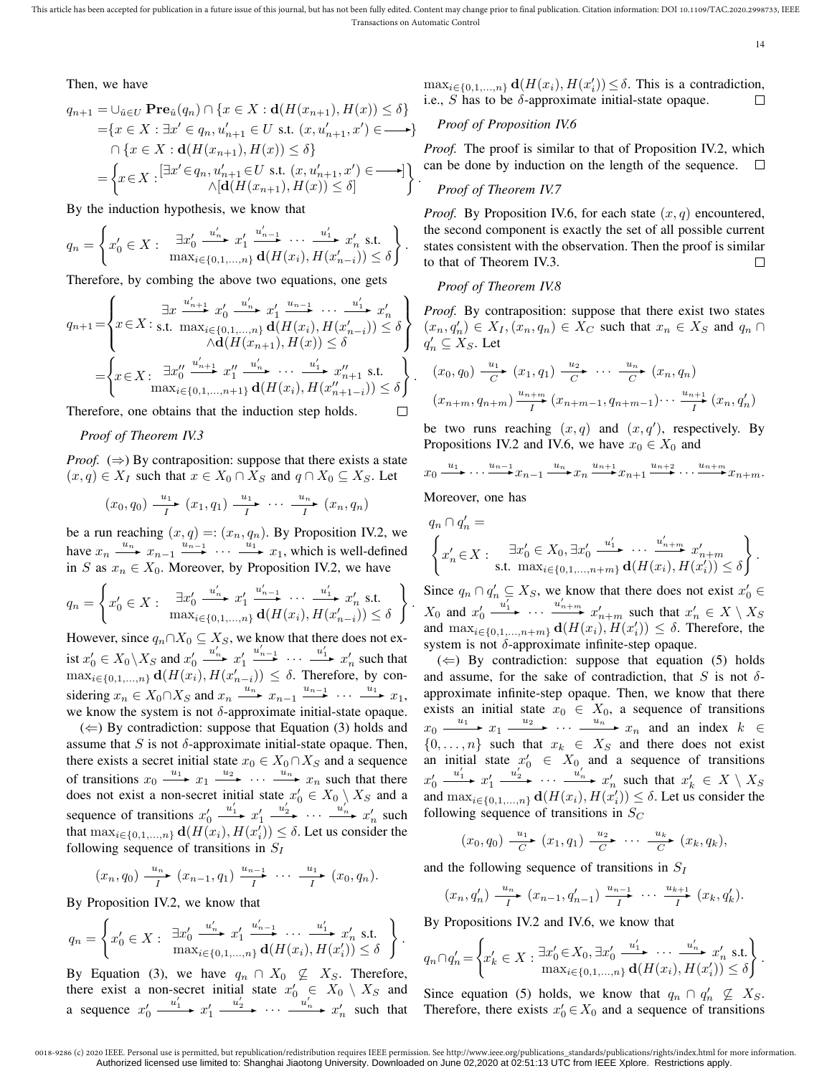.

.

.

 $\Box$ 

.

14

Then, we have

$$
q_{n+1} = \bigcup_{\hat{u} \in U} \mathbf{Pre}_{\hat{u}}(q_n) \cap \{x \in X : \mathbf{d}(H(x_{n+1}), H(x)) \le \delta\}
$$
  
=  $\{x \in X : \exists x' \in q_n, u'_{n+1} \in U \text{ s.t. } (x, u'_{n+1}, x') \in \longrightarrow\}$   

$$
\cap \{x \in X : \mathbf{d}(H(x_{n+1}), H(x)) \le \delta\}
$$
  
=  $\{x \in X : [\exists x' \in q_n, u'_{n+1} \in U \text{ s.t. } (x, u'_{n+1}, x') \in \longrightarrow]\}$   

$$
\wedge [\mathbf{d}(H(x_{n+1}), H(x)) \le \delta]
$$

By the induction hypothesis, we know that

$$
q_n = \left\{ x'_0 \in X : \frac{\exists x'_0 \xrightarrow{u'_n} x'_1 \xrightarrow{u'_{n-1}} \cdots \xrightarrow{u'_1} x'_n \text{ s.t.}}{\max_{i \in \{0,1,\dots,n\}} \mathbf{d}(H(x_i), H(x'_{n-i})) \le \delta \right\}
$$

Therefore, by combing the above two equations, one gets

$$
q_{n+1} = \left\{ x \in X : \begin{matrix} \exists x & \xrightarrow{u'_{n+1}} x'_0 & \xrightarrow{u'_{n}} x'_1 & \xrightarrow{u_{n-1}} \cdots & \xrightarrow{u'_1} x'_n \\ x \in X : \text{ s.t. } \max_{i \in \{0,1,\ldots,n\}} \mathbf{d}(H(x_i), H(x'_{n-i})) \le \delta \\ \wedge \mathbf{d}(H(x_{n+1}), H(x)) \le \delta \end{matrix} \right\}
$$

$$
= \left\{ x \in X : \begin{matrix} \exists x''_0 & \xrightarrow{u'_{n+1}} x''_1 & \xrightarrow{u'_{n+1}} \cdots & \xrightarrow{u'_1} x''_{n+1} \text{ s.t.} \\ \max_{i \in \{0,1,\ldots,n+1\}} \mathbf{d}(H(x_i), H(x''_{n+1-i})) \le \delta \end{matrix} \right\}
$$

Therefore, one obtains that the induction step holds.

## *Proof of Theorem IV.3*

*Proof.*  $(\Rightarrow)$  By contraposition: suppose that there exists a state  $(x, q) \in X_I$  such that  $x \in X_0 \cap X_S$  and  $q \cap X_0 \subseteq X_S$ . Let

$$
(x_0, q_0) \xrightarrow{u_1} (x_1, q_1) \xrightarrow{u_1} \cdots \xrightarrow{l_n} (x_n, q_n)
$$

be a run reaching  $(x, q) =: (x_n, q_n)$ . By Proposition IV.2, we have  $x_n \xrightarrow{u_n} x_{n-1} \xrightarrow{u_{n-1}} \cdots \xrightarrow{u_1} x_1$ , which is well-defined in S as  $x_n \in X_0$ . Moreover, by Proposition IV.2, we have

$$
q_n = \left\{ x'_0 \in X : \frac{\exists x'_0 \xrightarrow{u'_n} x'_1 \xrightarrow{u'_{n-1}} \cdots \xrightarrow{u'_1} x'_n \text{ s.t.}}{\max_{i \in \{0,1,\dots,n\}} \mathbf{d}(H(x_i), H(x'_{n-i})) \le \delta \right\}
$$

However, since  $q_n \cap X_0 \subseteq X_S$ , we know that there does not exist  $x'_0 \in X_0 \backslash X_S$  and  $x'_0$  $\stackrel{u'_n}{\longrightarrow} x'_1$  $\stackrel{u'_{n-1}}{\longrightarrow} \cdots \stackrel{u'_1}{\longrightarrow} x'_n$  such that  $\max_{i \in \{0,1,\ldots,n\}} \mathbf{d}(H(x_i), H(x'_{n-i})) \leq \delta$ . Therefore, by considering  $x_n \in X_0 \cap X_S$  and  $x_n \xrightarrow{u_n} x_{n-1} \xrightarrow{u_{n-1}} \cdots \xrightarrow{u_1} x_1$ , we know the system is not  $\delta$ -approximate initial-state opaque.

 $(\Leftarrow)$  By contradiction: suppose that Equation (3) holds and assume that S is not  $\delta$ -approximate initial-state opaque. Then, there exists a secret initial state  $x_0 \in X_0 \cap X_S$  and a sequence of transitions  $x_0 \xrightarrow{u_1} x_1 \xrightarrow{u_2} \cdots \xrightarrow{u_n} x_n$  such that there does not exist a non-secret initial state  $x'_0 \in X_0 \setminus X_S$  and a sequence of transitions  $x'_0$  $\overset{u_1'}{\longrightarrow} x_1'$  $u'_2$   $\longrightarrow$   $u'_n$  such that  $\max_{i \in \{0,1,\ldots,n\}} \mathbf{d}(H(x_i), H(x_i')) \le \delta$ . Let us consider the following sequence of transitions in  $S_I$ 

$$
(x_n, q_0) \xrightarrow{u_n} (x_{n-1}, q_1) \xrightarrow{l_{n-1}} \cdots \xrightarrow{l_1} (x_0, q_n).
$$

By Proposition IV.2, we know that

$$
q_n = \left\{ x'_0 \in X : \begin{array}{c} \exists x'_0 \xrightarrow{u'_n} x'_1 \xrightarrow{u'_{n-1}} \cdots \xrightarrow{u'_1} x'_n \text{ s.t.} \\ \max_{i \in \{0,1,\ldots,n\}} \mathbf{d}(H(x_i), H(x'_i)) \le \delta \end{array} \right\}.
$$

By Equation (3), we have  $q_n \cap X_0 \not\subseteq X_S$ . Therefore, there exist a non-secret initial state  $x'_0 \in X_0 \setminus X_S$  and a sequence  $x'_0$  $\stackrel{u_1'}{\longrightarrow} x_1'$  $\frac{u'_2}{\cdots}$   $\cdots$   $\frac{u'_n}{\cdots}$   $\frac{u'_n}{\cdots}$  such that

 $\max_{i \in \{0,1,\ldots,n\}} \mathbf{d}(H(x_i), H(x_i')) \leq \delta$ . This is a contradiction, i.e., S has to be  $\delta$ -approximate initial-state opaque. □

#### *Proof of Proposition IV.6*

*Proof.* The proof is similar to that of Proposition IV.2, which can be done by induction on the length of the sequence.  $\Box$ 

## *Proof of Theorem IV.7*

*Proof.* By Proposition IV.6, for each state  $(x, q)$  encountered, the second component is exactly the set of all possible current states consistent with the observation. Then the proof is similar to that of Theorem IV.3.  $\Box$ 

## *Proof of Theorem IV.8*

*Proof.* By contraposition: suppose that there exist two states  $(x_n, q'_n) \in X_I, (x_n, q_n) \in X_C$  such that  $x_n \in X_S$  and  $q_n \cap$  $q'_n \subseteq X_S$ . Let

$$
(x_0, q_0) \xrightarrow{\;u_1 \; \cdot \;} (x_1, q_1) \xrightarrow{\;u_2 \; \cdot \;} \cdots \xrightarrow{\;u_n \; \cdot \;} (x_n, q_n)
$$

$$
(x_{n+m}, q_{n+m}) \xrightarrow{\;u_{n+m}} (x_{n+m-1}, q_{n+m-1}) \cdots \xrightarrow{\;u_{n+1} \;} (x_n, q'_n)
$$

be two runs reaching  $(x, q)$  and  $(x, q')$ , respectively. By Propositions IV.2 and IV.6, we have  $x_0 \in X_0$  and

$$
x_0 \xrightarrow{u_1} \cdots \xrightarrow{u_{n-1}} x_{n-1} \xrightarrow{u_n} x_n \xrightarrow{u_{n+1}} x_{n+1} \xrightarrow{u_{n+2}} \cdots \xrightarrow{u_{n+m}} x_{n+m}.
$$

Moreover, one has

$$
q_n \cap q'_n = \left\{ x'_n \in X : \begin{array}{c} \exists x'_0 \in X_0, \exists x'_0 \xrightarrow{u'_1} \cdots \xrightarrow{u'_{n+m}} x'_{n+m} \\ \text{s.t. } \max_{i \in \{0, 1, \ldots, n+m\}} \mathbf{d}(H(x_i), H(x'_i)) \le \delta \end{array} \right\}.
$$

Since  $q_n \cap q'_n \subseteq X_S$ , we know that there does not exist  $x'_0 \in$  $X_0$  and  $x'_0$  $\overline{u_1'}$   $\cdots$   $\overline{u_{n+m}'}$   $x'_{n+m}$  such that  $x'_n \in X \setminus X_S$ and  $\max_{i \in \{0,1,\ldots,n+m\}} \mathbf{d}(H(x_i), H(x_i')) \leq \delta$ . Therefore, the system is not  $\delta$ -approximate infinite-step opaque.

 $(\Leftarrow)$  By contradiction: suppose that equation (5) holds and assume, for the sake of contradiction, that S is not  $\delta$ approximate infinite-step opaque. Then, we know that there exists an initial state  $x_0 \in X_0$ , a sequence of transitions  $x_0 \xrightarrow{u_1} x_1 \xrightarrow{u_2} \cdots \xrightarrow{u_n} x_n$  and an index  $k \in$  $\{0, \ldots, n\}$  such that  $x_k \in X_S$  and there does not exist an initial state  $x'_0 \in X_0$  and a sequence of transitions  $x'_0$  $\overset{u_1'}{\longrightarrow} x_1'$  $u_2^{\prime}$   $\longrightarrow$   $u_n^{\prime}$   $\longrightarrow$   $x_n^{\prime}$  such that  $x_k^{\prime} \in X \setminus X_S$ and  $\max_{i \in \{0,1,\ldots,n\}} \mathbf{d}(H(x_i), H(x_i')) \leq \delta$ . Let us consider the following sequence of transitions in  $S_C$ 

$$
(x_0, q_0) \xrightarrow{\ u_1} (x_1, q_1) \xrightarrow{\ u_2} \cdots \xrightarrow{\ u_k} (x_k, q_k),
$$

and the following sequence of transitions in  $S_I$ 

$$
(x_n, q'_n) \xrightarrow{u_n} (x_{n-1}, q'_{n-1}) \xrightarrow{u_{n-1}} \cdots \xrightarrow{l_{k+1}} (x_k, q'_k).
$$

By Propositions IV.2 and IV.6, we know that

$$
q_n \cap q'_n = \left\{ x'_k \in X : \frac{\exists x'_0 \in X_0, \exists x'_0 \xrightarrow{u'_1} \cdots \xrightarrow{u'_n} x'_n \text{ s.t.}}{\max_{i \in \{0,1,\ldots,n\}} \mathbf{d}(H(x_i), H(x'_i)) \le \delta \right\}.
$$

Since equation (5) holds, we know that  $q_n \cap q'_n \not\subseteq X_S$ . Therefore, there exists  $x'_0 \in X_0$  and a sequence of transitions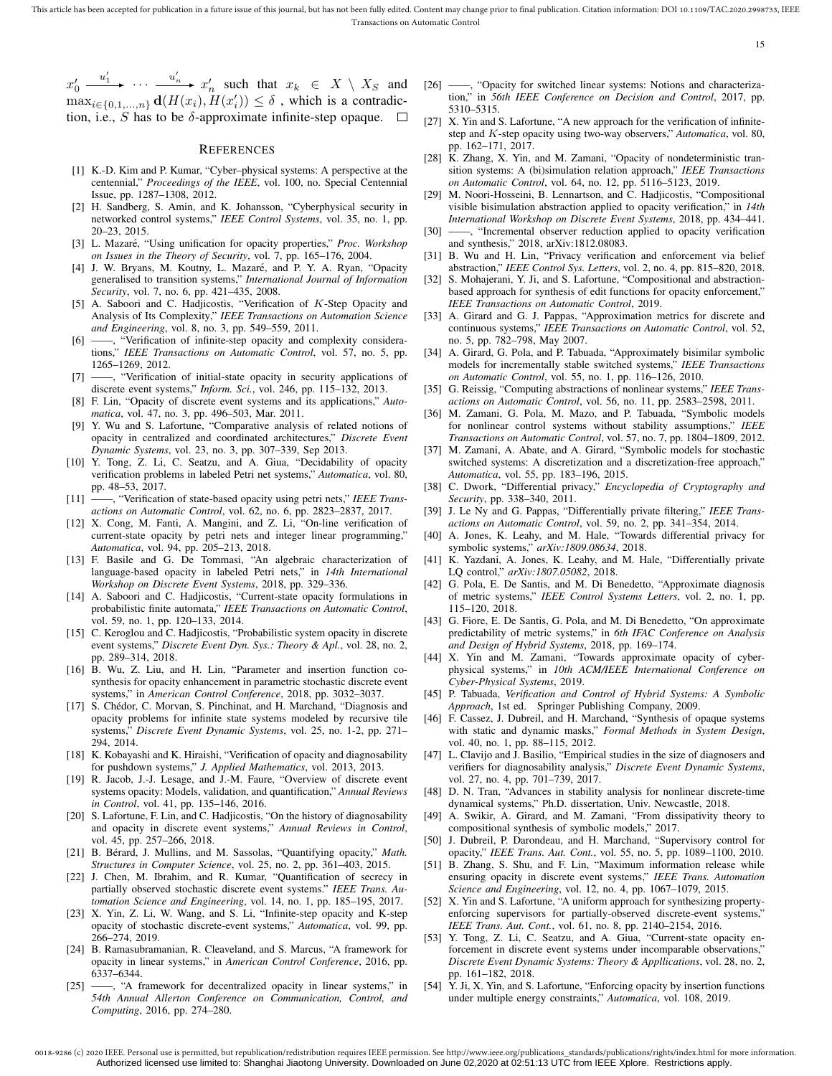$x'_0$  $\begin{array}{c} u'_1 \ \cdots \ \stackrel{u'_n}{\longrightarrow} x'_n \end{array}$  such that  $x_k \in X \setminus X_S$  and  $\max_{i \in \{0,1,\ldots,n\}} \mathbf{d}(H(x_i), H(x_i')) \leq \delta$ , which is a contradiction, i.e., S has to be  $\delta$ -approximate infinite-step opaque.  $\Box$ 

#### REFERENCES

- [1] K.-D. Kim and P. Kumar, "Cyber–physical systems: A perspective at the centennial," *Proceedings of the IEEE*, vol. 100, no. Special Centennial Issue, pp. 1287–1308, 2012.
- [2] H. Sandberg, S. Amin, and K. Johansson, "Cyberphysical security in networked control systems," *IEEE Control Systems*, vol. 35, no. 1, pp. 20–23, 2015.
- [3] L. Mazaré, "Using unification for opacity properties," Proc. Workshop *on Issues in the Theory of Security*, vol. 7, pp. 165–176, 2004.
- [4] J. W. Bryans, M. Koutny, L. Mazaré, and P. Y. A. Ryan, "Opacity generalised to transition systems," *International Journal of Information Security*, vol. 7, no. 6, pp. 421–435, 2008.
- [5] A. Saboori and C. Hadjicostis, "Verification of K-Step Opacity and Analysis of Its Complexity," *IEEE Transactions on Automation Science and Engineering*, vol. 8, no. 3, pp. 549–559, 2011.
- [6] ——, "Verification of infinite-step opacity and complexity considerations," *IEEE Transactions on Automatic Control*, vol. 57, no. 5, pp. 1265–1269, 2012.
- [7] ——, "Verification of initial-state opacity in security applications of discrete event systems," *Inform. Sci.*, vol. 246, pp. 115–132, 2013.
- [8] F. Lin, "Opacity of discrete event systems and its applications," *Automatica*, vol. 47, no. 3, pp. 496–503, Mar. 2011.
- [9] Y. Wu and S. Lafortune, "Comparative analysis of related notions of opacity in centralized and coordinated architectures," *Discrete Event Dynamic Systems*, vol. 23, no. 3, pp. 307–339, Sep 2013.
- [10] Y. Tong, Z. Li, C. Seatzu, and A. Giua, "Decidability of opacity verification problems in labeled Petri net systems," *Automatica*, vol. 80, pp. 48–53, 2017.
- [11] ——, "Verification of state-based opacity using petri nets," *IEEE Transactions on Automatic Control*, vol. 62, no. 6, pp. 2823–2837, 2017.
- [12] X. Cong, M. Fanti, A. Mangini, and Z. Li, "On-line verification of current-state opacity by petri nets and integer linear programming," *Automatica*, vol. 94, pp. 205–213, 2018.
- [13] F. Basile and G. De Tommasi, "An algebraic characterization of language-based opacity in labeled Petri nets," in *14th International Workshop on Discrete Event Systems*, 2018, pp. 329–336.
- [14] A. Saboori and C. Hadjicostis, "Current-state opacity formulations in probabilistic finite automata," *IEEE Transactions on Automatic Control*, vol. 59, no. 1, pp. 120–133, 2014.
- [15] C. Keroglou and C. Hadjicostis, "Probabilistic system opacity in discrete event systems," *Discrete Event Dyn. Sys.: Theory & Apl.*, vol. 28, no. 2, pp. 289–314, 2018.
- [16] B. Wu, Z. Liu, and H. Lin, "Parameter and insertion function cosynthesis for opacity enhancement in parametric stochastic discrete event systems," in *American Control Conference*, 2018, pp. 3032–3037.
- [17] S. Chédor, C. Morvan, S. Pinchinat, and H. Marchand, "Diagnosis and opacity problems for infinite state systems modeled by recursive tile systems," *Discrete Event Dynamic Systems*, vol. 25, no. 1-2, pp. 271– 294, 2014.
- [18] K. Kobayashi and K. Hiraishi, "Verification of opacity and diagnosability for pushdown systems," *J. Applied Mathematics*, vol. 2013, 2013.
- [19] R. Jacob, J.-J. Lesage, and J.-M. Faure, "Overview of discrete event systems opacity: Models, validation, and quantification," *Annual Reviews in Control*, vol. 41, pp. 135–146, 2016.
- [20] S. Lafortune, F. Lin, and C. Hadjicostis, "On the history of diagnosability and opacity in discrete event systems," *Annual Reviews in Control*, vol. 45, pp. 257–266, 2018.
- [21] B. Bérard, J. Mullins, and M. Sassolas, "Quantifying opacity," Math. *Structures in Computer Science*, vol. 25, no. 2, pp. 361–403, 2015.
- [22] J. Chen, M. Ibrahim, and R. Kumar, "Quantification of secrecy in partially observed stochastic discrete event systems." *IEEE Trans. Automation Science and Engineering*, vol. 14, no. 1, pp. 185–195, 2017.
- [23] X. Yin, Z. Li, W. Wang, and S. Li, "Infinite-step opacity and K-step opacity of stochastic discrete-event systems," *Automatica*, vol. 99, pp. 266–274, 2019.
- [24] B. Ramasubramanian, R. Cleaveland, and S. Marcus, "A framework for opacity in linear systems," in *American Control Conference*, 2016, pp. 6337–6344.
- [25] ——, "A framework for decentralized opacity in linear systems," in *54th Annual Allerton Conference on Communication, Control, and Computing*, 2016, pp. 274–280.
- [26] ——, "Opacity for switched linear systems: Notions and characterization," in *56th IEEE Conference on Decision and Control*, 2017, pp. 5310–5315.
- [27] X. Yin and S. Lafortune, "A new approach for the verification of infinitestep and K-step opacity using two-way observers," *Automatica*, vol. 80, pp. 162–171, 2017.
- [28] K. Zhang, X. Yin, and M. Zamani, "Opacity of nondeterministic transition systems: A (bi)simulation relation approach," *IEEE Transactions on Automatic Control*, vol. 64, no. 12, pp. 5116–5123, 2019.
- [29] M. Noori-Hosseini, B. Lennartson, and C. Hadjicostis, "Compositional visible bisimulation abstraction applied to opacity verification," in *14th International Workshop on Discrete Event Systems*, 2018, pp. 434–441.
- [30] ——, "Incremental observer reduction applied to opacity verification and synthesis," 2018, arXiv:1812.08083.
- [31] B. Wu and H. Lin, "Privacy verification and enforcement via belief abstraction," *IEEE Control Sys. Letters*, vol. 2, no. 4, pp. 815–820, 2018.
- [32] S. Mohajerani, Y. Ji, and S. Lafortune, "Compositional and abstractionbased approach for synthesis of edit functions for opacity enforcement," *IEEE Transactions on Automatic Control*, 2019.
- [33] A. Girard and G. J. Pappas, "Approximation metrics for discrete and continuous systems," *IEEE Transactions on Automatic Control*, vol. 52, no. 5, pp. 782–798, May 2007.
- [34] A. Girard, G. Pola, and P. Tabuada, "Approximately bisimilar symbolic models for incrementally stable switched systems," *IEEE Transactions on Automatic Control*, vol. 55, no. 1, pp. 116–126, 2010.
- [35] G. Reissig, "Computing abstractions of nonlinear systems," *IEEE Transactions on Automatic Control*, vol. 56, no. 11, pp. 2583–2598, 2011.
- [36] M. Zamani, G. Pola, M. Mazo, and P. Tabuada, "Symbolic models for nonlinear control systems without stability assumptions," *IEEE Transactions on Automatic Control*, vol. 57, no. 7, pp. 1804–1809, 2012.
- [37] M. Zamani, A. Abate, and A. Girard, "Symbolic models for stochastic switched systems: A discretization and a discretization-free approach," *Automatica*, vol. 55, pp. 183–196, 2015.
- [38] C. Dwork, "Differential privacy," *Encyclopedia of Cryptography and Security*, pp. 338–340, 2011.
- [39] J. Le Ny and G. Pappas, "Differentially private filtering," *IEEE Transactions on Automatic Control*, vol. 59, no. 2, pp. 341–354, 2014.
- [40] A. Jones, K. Leahy, and M. Hale, "Towards differential privacy for symbolic systems," *arXiv:1809.08634*, 2018.
- [41] K. Yazdani, A. Jones, K. Leahy, and M. Hale, "Differentially private LQ control," *arXiv:1807.05082*, 2018.
- [42] G. Pola, E. De Santis, and M. Di Benedetto, "Approximate diagnosis of metric systems," *IEEE Control Systems Letters*, vol. 2, no. 1, pp. 115–120, 2018.
- [43] G. Fiore, E. De Santis, G. Pola, and M. Di Benedetto, "On approximate predictability of metric systems," in *6th IFAC Conference on Analysis and Design of Hybrid Systems*, 2018, pp. 169–174.
- [44] X. Yin and M. Zamani, "Towards approximate opacity of cyberphysical systems," in *10th ACM/IEEE International Conference on Cyber-Physical Systems*, 2019.
- [45] P. Tabuada, *Verification and Control of Hybrid Systems: A Symbolic Approach*, 1st ed. Springer Publishing Company, 2009.
- [46] F. Cassez, J. Dubreil, and H. Marchand, "Synthesis of opaque systems with static and dynamic masks," *Formal Methods in System Design*, vol. 40, no. 1, pp. 88–115, 2012.
- [47] L. Clavijo and J. Basilio, "Empirical studies in the size of diagnosers and verifiers for diagnosability analysis," *Discrete Event Dynamic Systems*, vol. 27, no. 4, pp. 701–739, 2017.
- [48] D. N. Tran, "Advances in stability analysis for nonlinear discrete-time dynamical systems," Ph.D. dissertation, Univ. Newcastle, 2018.
- [49] A. Swikir, A. Girard, and M. Zamani, "From dissipativity theory to compositional synthesis of symbolic models," 2017.
- [50] J. Dubreil, P. Darondeau, and H. Marchand, "Supervisory control for opacity," *IEEE Trans. Aut. Cont.*, vol. 55, no. 5, pp. 1089–1100, 2010.
- [51] B. Zhang, S. Shu, and F. Lin, "Maximum information release while ensuring opacity in discrete event systems," *IEEE Trans. Automation Science and Engineering*, vol. 12, no. 4, pp. 1067–1079, 2015.
- [52] X. Yin and S. Lafortune, "A uniform approach for synthesizing propertyenforcing supervisors for partially-observed discrete-event systems," *IEEE Trans. Aut. Cont.*, vol. 61, no. 8, pp. 2140–2154, 2016.
- [53] Y. Tong, Z. Li, C. Seatzu, and A. Giua, "Current-state opacity enforcement in discrete event systems under incomparable observations," *Discrete Event Dynamic Systems: Theory & Appllications*, vol. 28, no. 2, pp. 161–182, 2018.
- [54] Y. Ji, X. Yin, and S. Lafortune, "Enforcing opacity by insertion functions under multiple energy constraints," *Automatica*, vol. 108, 2019.